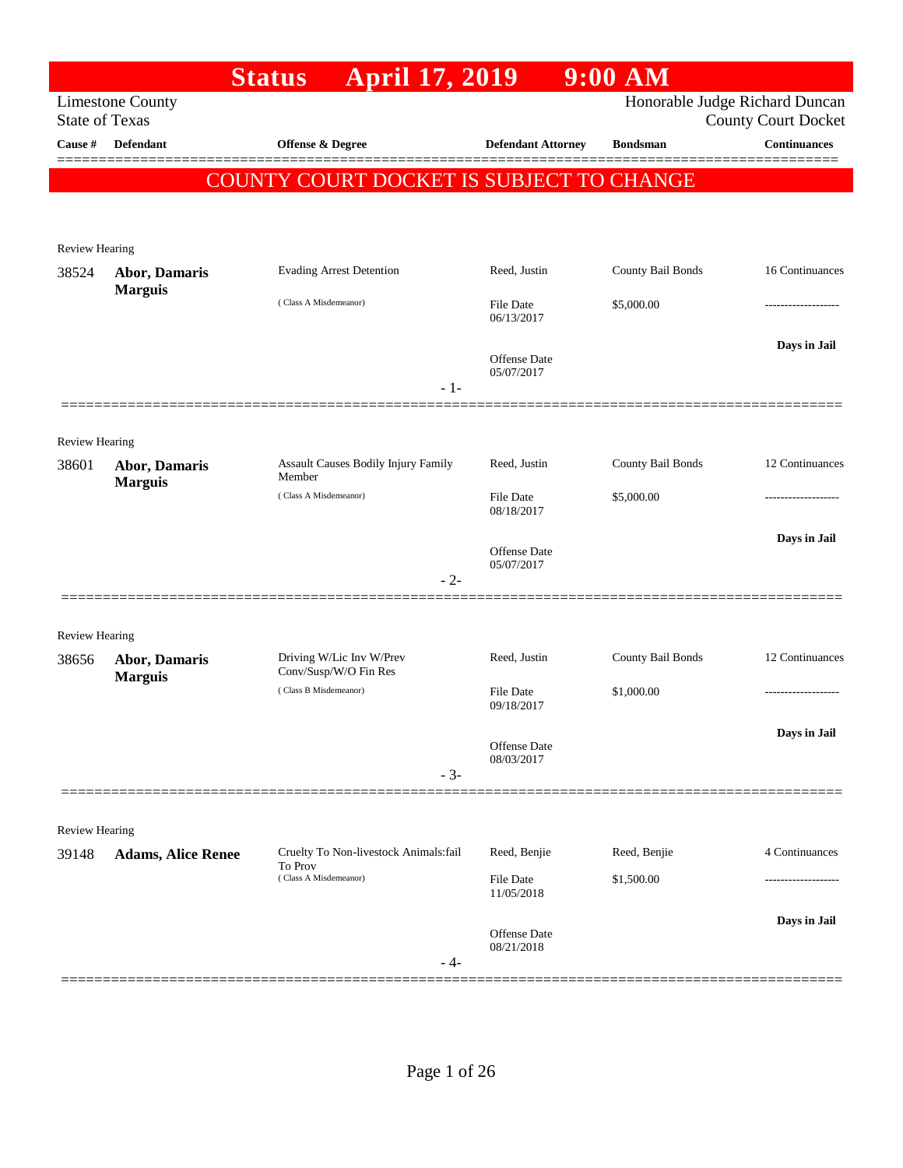|                         |                                        | <b>April 17, 2019</b><br><b>Status</b>            |                                   | $9:00$ AM         |                                                              |
|-------------------------|----------------------------------------|---------------------------------------------------|-----------------------------------|-------------------|--------------------------------------------------------------|
| <b>State of Texas</b>   | <b>Limestone County</b>                |                                                   |                                   |                   | Honorable Judge Richard Duncan<br><b>County Court Docket</b> |
| Cause #                 | <b>Defendant</b>                       | Offense & Degree                                  | <b>Defendant Attorney</b>         | <b>Bondsman</b>   | <b>Continuances</b>                                          |
|                         |                                        | COUNTY COURT DOCKET IS SUBJECT TO CHANGE          |                                   |                   |                                                              |
|                         |                                        |                                                   |                                   |                   |                                                              |
|                         |                                        |                                                   |                                   |                   |                                                              |
| Review Hearing          |                                        |                                                   |                                   |                   |                                                              |
| 38524                   | Abor, Damaris<br><b>Marguis</b>        | <b>Evading Arrest Detention</b>                   | Reed, Justin                      | County Bail Bonds | 16 Continuances                                              |
|                         |                                        | (Class A Misdemeanor)                             | <b>File Date</b><br>06/13/2017    | \$5,000.00        |                                                              |
|                         |                                        |                                                   |                                   |                   | Days in Jail                                                 |
|                         |                                        |                                                   | <b>Offense Date</b><br>05/07/2017 |                   |                                                              |
|                         |                                        |                                                   | $-1-$                             |                   |                                                              |
|                         |                                        |                                                   |                                   |                   |                                                              |
| Review Hearing          |                                        |                                                   |                                   |                   |                                                              |
| 38601                   | <b>Abor, Damaris</b><br><b>Marguis</b> | Assault Causes Bodily Injury Family<br>Member     | Reed, Justin                      | County Bail Bonds | 12 Continuances                                              |
|                         |                                        | (Class A Misdemeanor)                             | <b>File Date</b><br>08/18/2017    | \$5,000.00        |                                                              |
|                         |                                        |                                                   |                                   |                   | Days in Jail                                                 |
|                         |                                        |                                                   | <b>Offense Date</b><br>05/07/2017 |                   |                                                              |
|                         |                                        |                                                   | $-2-$                             |                   |                                                              |
|                         |                                        |                                                   |                                   |                   |                                                              |
| <b>Review Hearing</b>   |                                        |                                                   |                                   |                   |                                                              |
| 38656                   | <b>Abor, Damaris</b><br><b>Marguis</b> | Driving W/Lic Inv W/Prev<br>Conv/Susp/W/O Fin Res | Reed, Justin                      | County Bail Bonds | 12 Continuances                                              |
|                         |                                        | (Class B Misdemeanor)                             | <b>File Date</b><br>09/18/2017    | \$1,000.00        |                                                              |
|                         |                                        |                                                   |                                   |                   | Days in Jail                                                 |
|                         |                                        |                                                   | <b>Offense Date</b><br>08/03/2017 |                   |                                                              |
|                         |                                        |                                                   | $-3-$                             |                   |                                                              |
|                         |                                        |                                                   |                                   |                   |                                                              |
| Review Hearing<br>39148 |                                        | Cruelty To Non-livestock Animals:fail             | Reed, Benjie                      | Reed, Benjie      | 4 Continuances                                               |
|                         | <b>Adams, Alice Renee</b>              | To Prov<br>(Class A Misdemeanor)                  | <b>File Date</b>                  | \$1,500.00        |                                                              |
|                         |                                        |                                                   | 11/05/2018                        |                   |                                                              |
|                         |                                        |                                                   | Offense Date                      |                   | Days in Jail                                                 |
|                         |                                        |                                                   | 08/21/2018<br>- 4-                |                   |                                                              |
|                         |                                        |                                                   |                                   |                   |                                                              |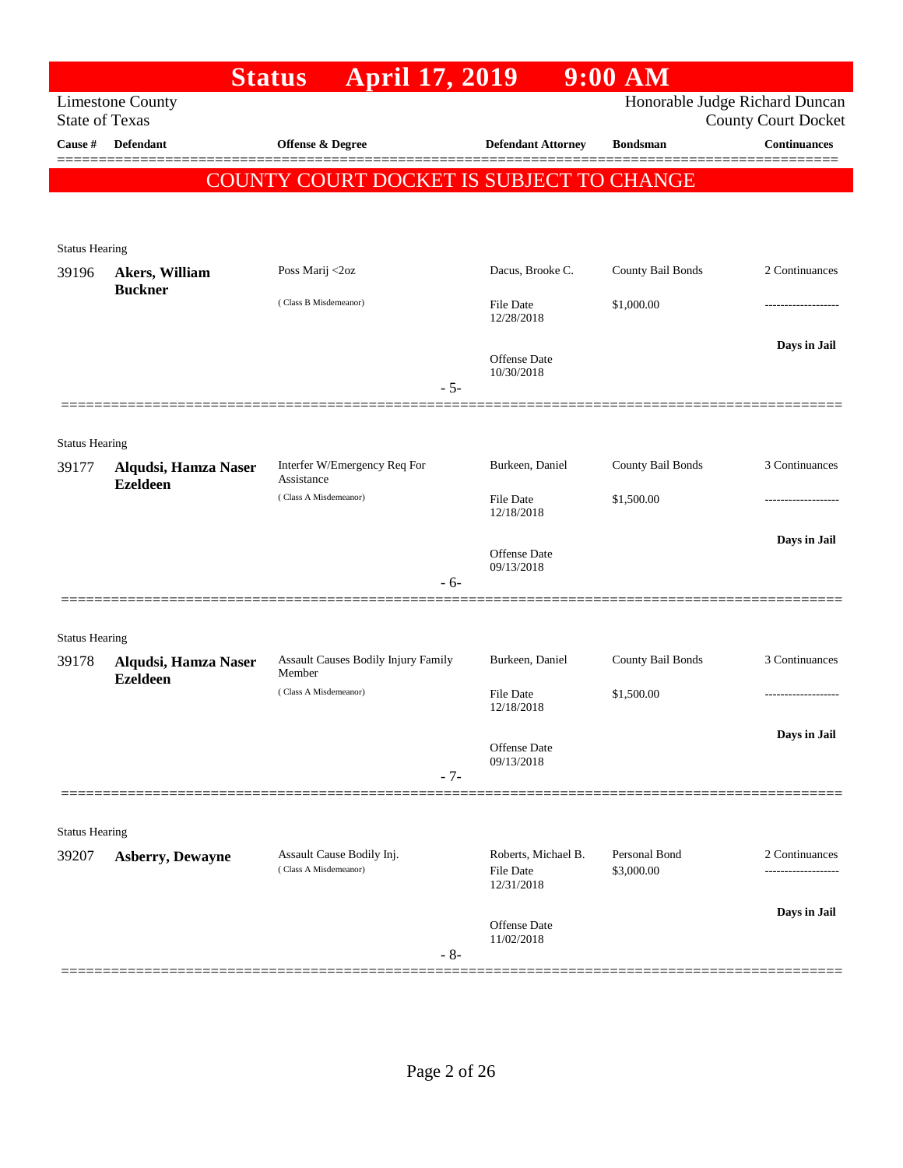|                                |                                           | <b>April 17, 2019</b><br><b>Status</b>        |                                | $9:00$ AM                      |                                                   |
|--------------------------------|-------------------------------------------|-----------------------------------------------|--------------------------------|--------------------------------|---------------------------------------------------|
|                                | <b>Limestone County</b>                   |                                               |                                | Honorable Judge Richard Duncan |                                                   |
| Cause #                        | <b>State of Texas</b><br><b>Defendant</b> | Offense & Degree                              | <b>Defendant Attorney</b>      | <b>Bondsman</b>                | <b>County Court Docket</b><br><b>Continuances</b> |
|                                |                                           |                                               |                                |                                |                                                   |
|                                |                                           | COUNTY COURT DOCKET IS SUBJECT TO CHANGE      |                                |                                |                                                   |
|                                |                                           |                                               |                                |                                |                                                   |
| <b>Status Hearing</b>          |                                           |                                               |                                |                                |                                                   |
| 39196                          | Akers, William<br><b>Buckner</b>          | Poss Marij <2oz                               | Dacus, Brooke C.               | County Bail Bonds              | 2 Continuances                                    |
|                                |                                           | (Class B Misdemeanor)                         | <b>File Date</b><br>12/28/2018 | \$1,000.00                     | ------------------                                |
|                                |                                           |                                               |                                |                                | Days in Jail                                      |
|                                |                                           |                                               | Offense Date<br>10/30/2018     |                                |                                                   |
|                                |                                           | $-5-$                                         |                                |                                |                                                   |
|                                |                                           |                                               |                                |                                |                                                   |
| <b>Status Hearing</b><br>39177 | Alqudsi, Hamza Naser                      | Interfer W/Emergency Req For                  | Burkeen, Daniel                | County Bail Bonds              | 3 Continuances                                    |
|                                | <b>Ezeldeen</b>                           | Assistance<br>(Class A Misdemeanor)           | <b>File Date</b>               | \$1,500.00                     | .                                                 |
|                                |                                           |                                               | 12/18/2018                     |                                |                                                   |
|                                |                                           |                                               | Offense Date                   |                                | Days in Jail                                      |
|                                |                                           | $-6-$                                         | 09/13/2018                     |                                |                                                   |
|                                |                                           |                                               |                                |                                |                                                   |
| <b>Status Hearing</b>          |                                           |                                               |                                |                                |                                                   |
| 39178                          | Alqudsi, Hamza Naser                      | Assault Causes Bodily Injury Family<br>Member | Burkeen, Daniel                | County Bail Bonds              | 3 Continuances                                    |
|                                | <b>Ezeldeen</b>                           | (Class A Misdemeanor)                         | <b>File Date</b><br>12/18/2018 | \$1,500.00                     | -------------------                               |
|                                |                                           |                                               |                                |                                | Days in Jail                                      |
|                                |                                           |                                               | Offense Date<br>09/13/2018     |                                |                                                   |
|                                |                                           | $-7-$                                         |                                |                                |                                                   |
|                                |                                           |                                               |                                |                                |                                                   |
| <b>Status Hearing</b><br>39207 | <b>Asberry, Dewayne</b>                   | Assault Cause Bodily Inj.                     | Roberts, Michael B.            | Personal Bond                  | 2 Continuances                                    |
|                                |                                           | (Class A Misdemeanor)                         | File Date<br>12/31/2018        | \$3,000.00                     | -----------------                                 |
|                                |                                           |                                               |                                |                                | Days in Jail                                      |
|                                |                                           |                                               | Offense Date<br>11/02/2018     |                                |                                                   |
|                                |                                           | $-8-$                                         |                                |                                |                                                   |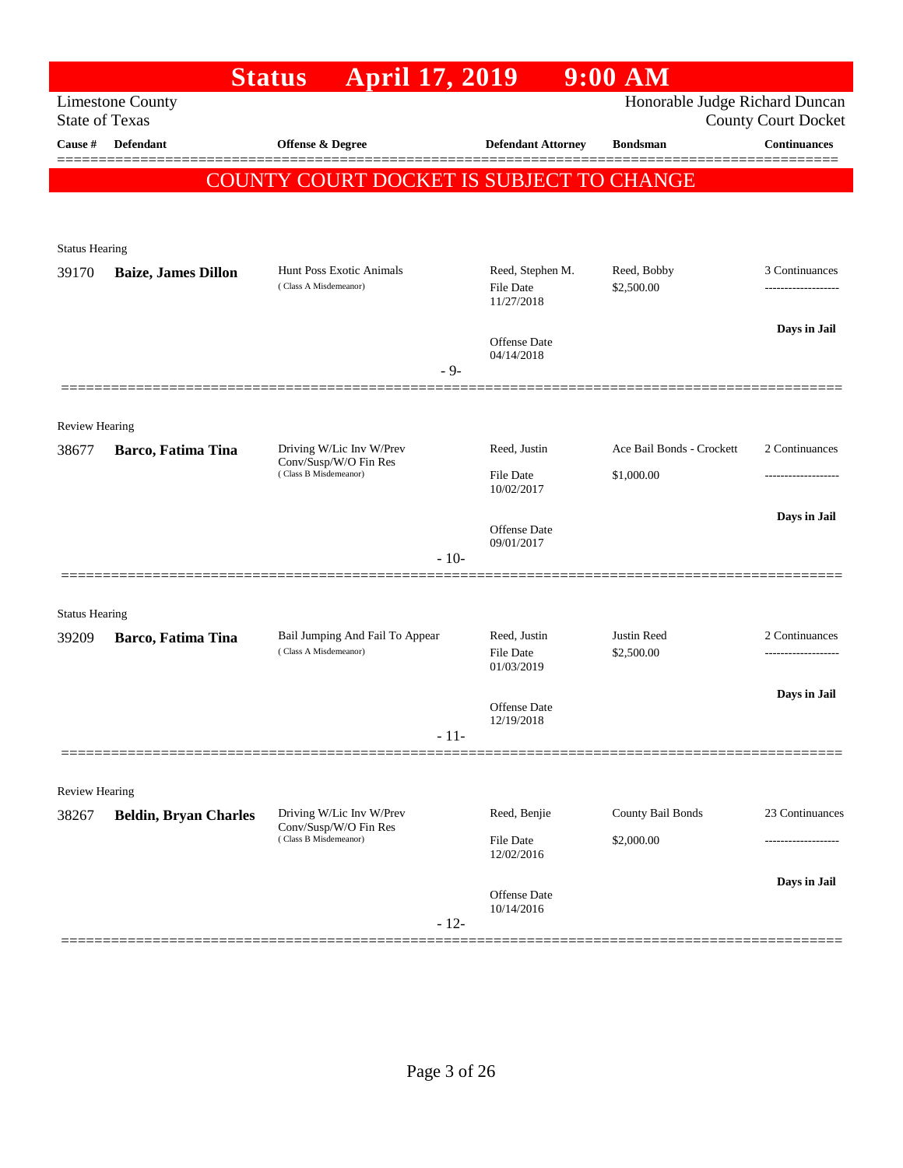|                       |                                                                             | April 17, 2019<br><b>Status</b>                          |                                | $9:00$ AM                      |                                            |
|-----------------------|-----------------------------------------------------------------------------|----------------------------------------------------------|--------------------------------|--------------------------------|--------------------------------------------|
| <b>State of Texas</b> | <b>Limestone County</b>                                                     |                                                          |                                | Honorable Judge Richard Duncan |                                            |
| <b>Cause</b> #        | Defendant                                                                   | Offense & Degree                                         | <b>Defendant Attorney</b>      | <b>Bondsman</b>                | <b>County Court Docket</b><br>Continuances |
|                       |                                                                             |                                                          |                                |                                |                                            |
|                       |                                                                             | <b>COUNTY COURT DOCKET IS SUBJECT TO CHANGE</b>          |                                |                                |                                            |
|                       |                                                                             |                                                          |                                |                                |                                            |
| <b>Status Hearing</b> |                                                                             |                                                          |                                |                                |                                            |
| 39170                 | <b>Baize, James Dillon</b>                                                  | Hunt Poss Exotic Animals                                 | Reed, Stephen M.               | Reed, Bobby                    | 3 Continuances                             |
|                       |                                                                             | (Class A Misdemeanor)                                    | File Date<br>11/27/2018        | \$2,500.00                     | .                                          |
|                       |                                                                             |                                                          |                                |                                | Days in Jail                               |
|                       |                                                                             |                                                          | Offense Date<br>04/14/2018     |                                |                                            |
|                       |                                                                             | $-9-$                                                    |                                |                                |                                            |
|                       |                                                                             |                                                          |                                |                                |                                            |
| <b>Review Hearing</b> |                                                                             |                                                          |                                | Ace Bail Bonds - Crockett      |                                            |
| 38677                 | <b>Barco, Fatima Tina</b><br>Conv/Susp/W/O Fin Res<br>(Class B Misdemeanor) | Driving W/Lic Inv W/Prev                                 | Reed, Justin                   |                                | 2 Continuances                             |
|                       |                                                                             |                                                          | <b>File Date</b><br>10/02/2017 | \$1,000.00                     |                                            |
|                       |                                                                             |                                                          |                                |                                | Days in Jail                               |
|                       |                                                                             |                                                          | Offense Date<br>09/01/2017     |                                |                                            |
|                       |                                                                             | $-10-$                                                   |                                |                                |                                            |
|                       |                                                                             |                                                          |                                |                                |                                            |
| <b>Status Hearing</b> |                                                                             |                                                          | Reed, Justin                   | Justin Reed                    | 2 Continuances                             |
| 39209                 | Barco, Fatima Tina                                                          | Bail Jumping And Fail To Appear<br>(Class A Misdemeanor) | <b>File Date</b>               | \$2,500.00                     | -------------------                        |
|                       |                                                                             |                                                          | 01/03/2019                     |                                |                                            |
|                       |                                                                             |                                                          | Offense Date                   |                                | Days in Jail                               |
|                       |                                                                             | $-11-$                                                   | 12/19/2018                     |                                |                                            |
|                       |                                                                             |                                                          |                                |                                |                                            |
| Review Hearing        |                                                                             |                                                          |                                |                                |                                            |
| 38267                 | <b>Beldin, Bryan Charles</b>                                                | Driving W/Lic Inv W/Prev                                 | Reed, Benjie                   | County Bail Bonds              | 23 Continuances                            |
|                       |                                                                             | Conv/Susp/W/O Fin Res<br>(Class B Misdemeanor)           | <b>File Date</b>               | \$2,000.00                     | .                                          |
|                       |                                                                             |                                                          | 12/02/2016                     |                                |                                            |
|                       |                                                                             |                                                          | Offense Date                   |                                | Days in Jail                               |
|                       |                                                                             | $-12-$                                                   | 10/14/2016                     |                                |                                            |
|                       |                                                                             |                                                          |                                |                                |                                            |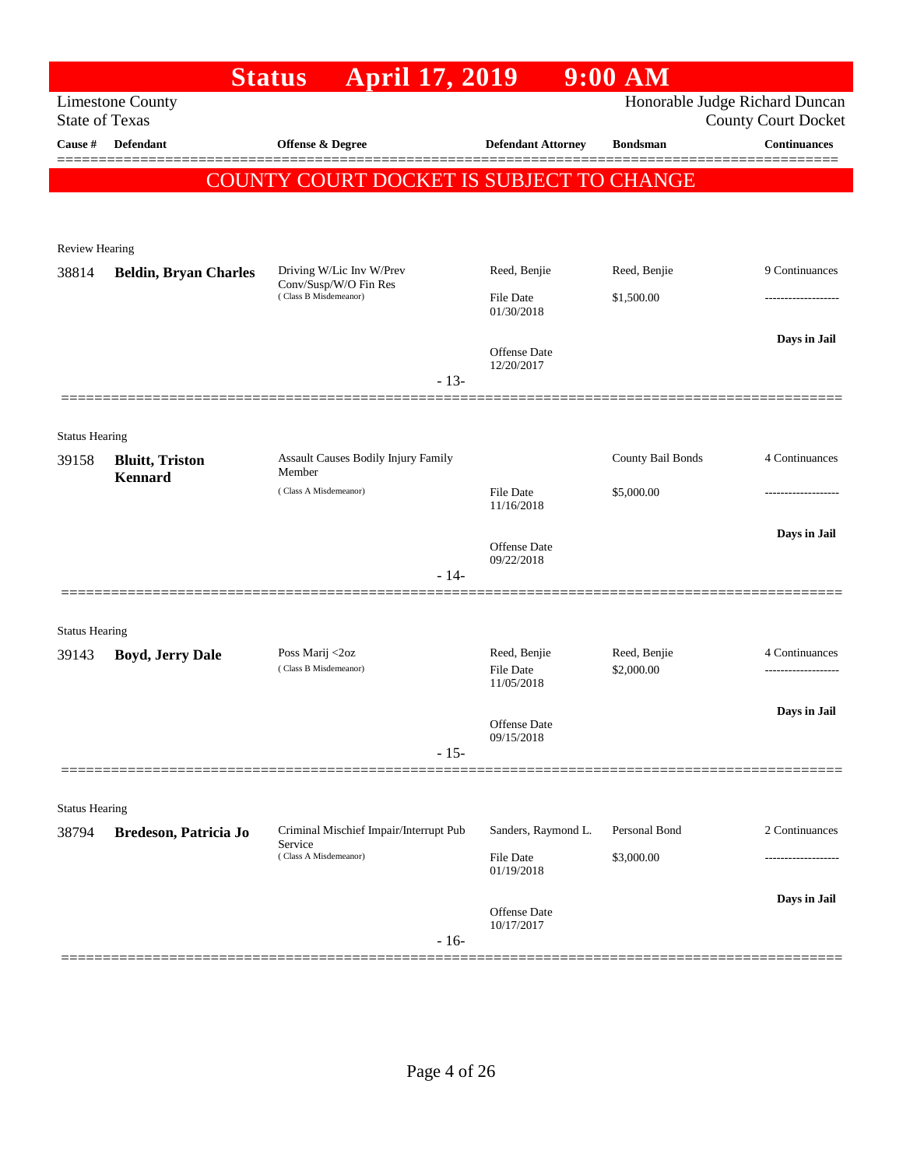|                                |                                           | <b>April 17, 2019</b><br><b>Status</b>                                     |                                         | $9:00$ AM         |                                                              |
|--------------------------------|-------------------------------------------|----------------------------------------------------------------------------|-----------------------------------------|-------------------|--------------------------------------------------------------|
| <b>State of Texas</b>          | <b>Limestone County</b>                   |                                                                            |                                         |                   | Honorable Judge Richard Duncan<br><b>County Court Docket</b> |
| Cause #                        | <b>Defendant</b>                          | <b>Offense &amp; Degree</b>                                                | <b>Defendant Attorney</b>               | <b>Bondsman</b>   | <b>Continuances</b>                                          |
|                                |                                           | COUNTY COURT DOCKET IS SUBJECT TO CHANGE                                   |                                         |                   |                                                              |
|                                |                                           |                                                                            |                                         |                   |                                                              |
| Review Hearing                 |                                           |                                                                            |                                         |                   |                                                              |
| 38814                          | <b>Beldin, Bryan Charles</b>              | Driving W/Lic Inv W/Prev                                                   | Reed, Benjie                            | Reed, Benjie      | 9 Continuances                                               |
|                                |                                           | Conv/Susp/W/O Fin Res<br>(Class B Misdemeanor)                             | <b>File Date</b>                        | \$1,500.00        | ----------------                                             |
|                                |                                           |                                                                            | 01/30/2018                              |                   |                                                              |
|                                |                                           |                                                                            | <b>Offense Date</b><br>12/20/2017       |                   | Days in Jail                                                 |
|                                |                                           | $-13-$                                                                     |                                         |                   |                                                              |
|                                |                                           |                                                                            |                                         |                   |                                                              |
| <b>Status Hearing</b>          |                                           |                                                                            |                                         |                   |                                                              |
| 39158                          | <b>Bluitt</b> , Triston<br><b>Kennard</b> | Assault Causes Bodily Injury Family<br>Member                              |                                         | County Bail Bonds | 4 Continuances                                               |
|                                |                                           | (Class A Misdemeanor)                                                      | <b>File Date</b><br>11/16/2018          | \$5,000.00        |                                                              |
|                                |                                           |                                                                            |                                         |                   | Days in Jail                                                 |
|                                |                                           |                                                                            | <b>Offense Date</b><br>09/22/2018       |                   |                                                              |
|                                |                                           | $-14-$                                                                     |                                         |                   |                                                              |
|                                |                                           |                                                                            |                                         |                   |                                                              |
| <b>Status Hearing</b><br>39143 | <b>Boyd, Jerry Dale</b>                   | Poss Marij <2oz                                                            | Reed, Benjie                            | Reed, Benjie      | 4 Continuances                                               |
|                                |                                           | (Class B Misdemeanor)                                                      | <b>File Date</b><br>11/05/2018          | \$2,000.00        | .                                                            |
|                                |                                           |                                                                            |                                         |                   | Days in Jail                                                 |
|                                |                                           |                                                                            | Offense Date<br>09/15/2018              |                   |                                                              |
|                                |                                           | $-15-$                                                                     |                                         |                   |                                                              |
|                                |                                           |                                                                            |                                         |                   |                                                              |
| <b>Status Hearing</b>          |                                           |                                                                            |                                         | Personal Bond     | 2 Continuances                                               |
| 38794                          | Bredeson, Patricia Jo                     | Criminal Mischief Impair/Interrupt Pub<br>Service<br>(Class A Misdemeanor) | Sanders, Raymond L.<br><b>File Date</b> | \$3,000.00        | -----------------                                            |
|                                |                                           |                                                                            | 01/19/2018                              |                   |                                                              |
|                                |                                           |                                                                            | Offense Date                            |                   | Days in Jail                                                 |
|                                |                                           | $-16-$                                                                     | 10/17/2017                              |                   |                                                              |
|                                |                                           |                                                                            |                                         |                   | ========================                                     |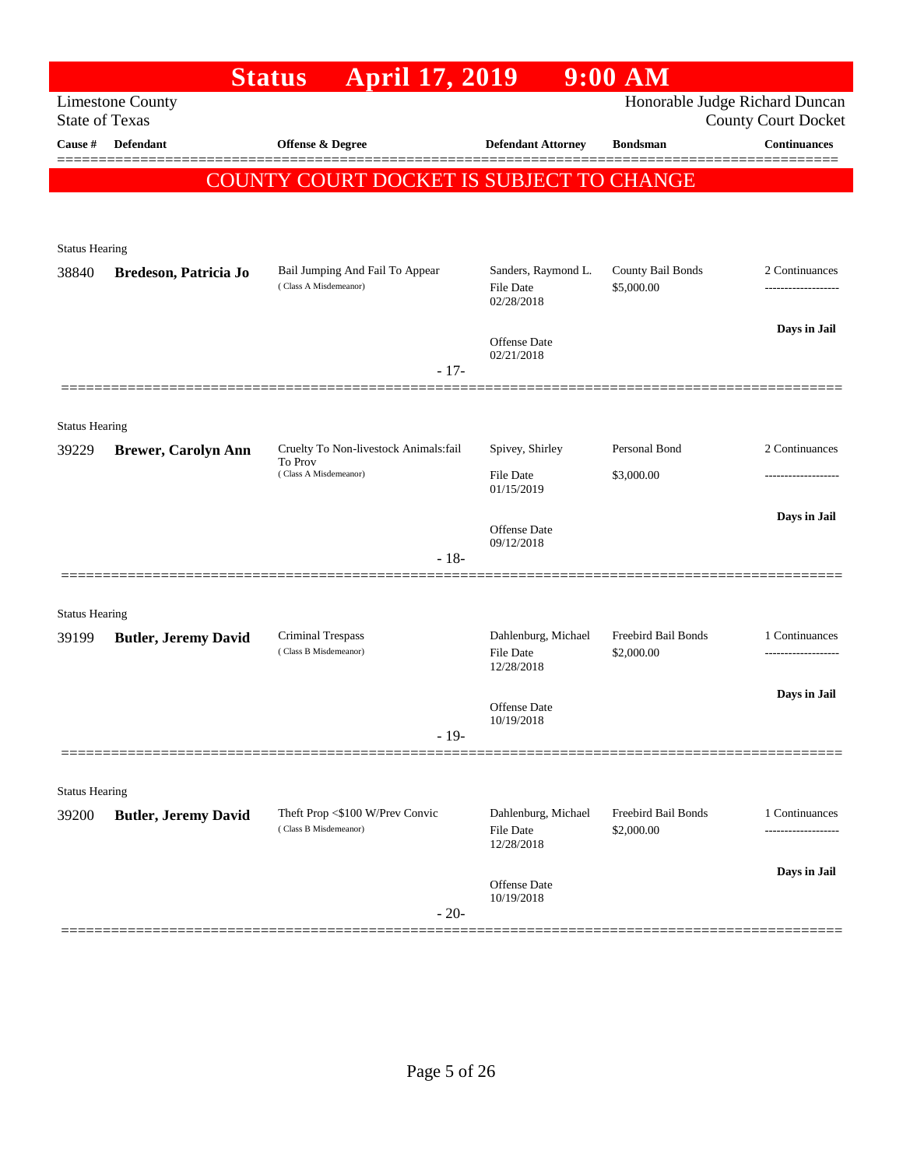|                                |                                  | <b>April 17, 2019</b><br><b>Status</b>                   |                                                       | $9:00$ AM                         |                                                              |
|--------------------------------|----------------------------------|----------------------------------------------------------|-------------------------------------------------------|-----------------------------------|--------------------------------------------------------------|
| <b>State of Texas</b>          | <b>Limestone County</b>          |                                                          |                                                       |                                   | Honorable Judge Richard Duncan<br><b>County Court Docket</b> |
| Cause #                        | Defendant                        | Offense & Degree                                         | <b>Defendant Attorney</b>                             | <b>Bondsman</b>                   | <b>Continuances</b>                                          |
|                                |                                  | <b>COUNTY COURT DOCKET IS SUBJECT TO CHANGE</b>          |                                                       |                                   |                                                              |
|                                |                                  |                                                          |                                                       |                                   |                                                              |
|                                |                                  |                                                          |                                                       |                                   |                                                              |
| <b>Status Hearing</b>          |                                  |                                                          |                                                       |                                   |                                                              |
| 38840                          | Bredeson, Patricia Jo            | Bail Jumping And Fail To Appear<br>(Class A Misdemeanor) | Sanders, Raymond L.<br><b>File Date</b><br>02/28/2018 | County Bail Bonds<br>\$5,000.00   | 2 Continuances                                               |
|                                |                                  |                                                          | <b>Offense Date</b><br>02/21/2018                     |                                   | Days in Jail                                                 |
|                                |                                  | $-17-$                                                   |                                                       |                                   |                                                              |
| <b>Status Hearing</b>          |                                  |                                                          |                                                       |                                   |                                                              |
| 39229                          | <b>Brewer, Carolyn Ann</b>       | Cruelty To Non-livestock Animals:fail                    | Spivey, Shirley                                       | Personal Bond                     | 2 Continuances                                               |
|                                | To Prov<br>(Class A Misdemeanor) |                                                          | <b>File Date</b>                                      | \$3,000.00                        | ------------------                                           |
|                                |                                  |                                                          | 01/15/2019                                            |                                   | Days in Jail                                                 |
|                                |                                  |                                                          | <b>Offense Date</b><br>09/12/2018                     |                                   |                                                              |
|                                |                                  | $-18-$                                                   |                                                       |                                   |                                                              |
|                                |                                  |                                                          |                                                       |                                   |                                                              |
| <b>Status Hearing</b><br>39199 | <b>Butler, Jeremy David</b>      | <b>Criminal Trespass</b>                                 | Dahlenburg, Michael                                   | Freebird Bail Bonds<br>\$2,000.00 | 1 Continuances                                               |
|                                |                                  | (Class B Misdemeanor)                                    | <b>File Date</b><br>12/28/2018                        |                                   |                                                              |
|                                |                                  |                                                          | Offense Date                                          |                                   | Days in Jail                                                 |
|                                |                                  | $-19-$                                                   | 10/19/2018                                            |                                   |                                                              |
|                                |                                  |                                                          |                                                       |                                   |                                                              |
| <b>Status Hearing</b>          |                                  |                                                          |                                                       |                                   |                                                              |
| 39200                          | <b>Butler, Jeremy David</b>      | Theft Prop <\$100 W/Prev Convic<br>(Class B Misdemeanor) | Dahlenburg, Michael<br><b>File Date</b><br>12/28/2018 | Freebird Bail Bonds<br>\$2,000.00 | 1 Continuances<br>----------------                           |
|                                |                                  |                                                          | Offense Date<br>10/19/2018                            |                                   | Days in Jail                                                 |
|                                |                                  | $-20-$                                                   |                                                       |                                   |                                                              |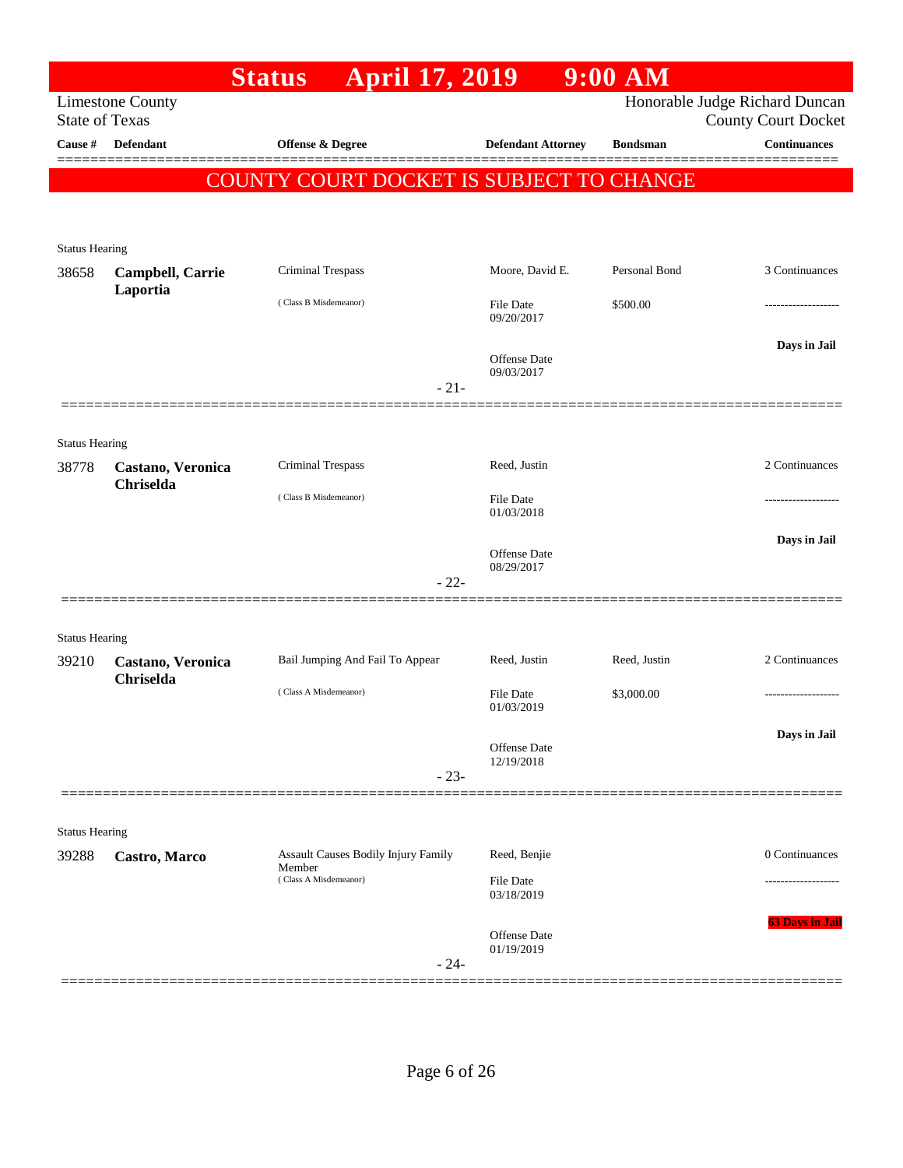|                                |                              | <b>April 17, 2019</b><br><b>Status</b>               |                                   | $9:00$ AM       |                                                              |
|--------------------------------|------------------------------|------------------------------------------------------|-----------------------------------|-----------------|--------------------------------------------------------------|
| <b>State of Texas</b>          | <b>Limestone County</b>      |                                                      |                                   |                 | Honorable Judge Richard Duncan<br><b>County Court Docket</b> |
| Cause #                        | Defendant                    | Offense & Degree                                     | <b>Defendant Attorney</b>         | <b>Bondsman</b> | <b>Continuances</b>                                          |
|                                |                              | COUNTY COURT DOCKET IS SUBJECT TO CHANGE             |                                   |                 | =========                                                    |
|                                |                              |                                                      |                                   |                 |                                                              |
|                                |                              |                                                      |                                   |                 |                                                              |
| <b>Status Hearing</b>          |                              |                                                      |                                   |                 |                                                              |
| 38658                          | Campbell, Carrie<br>Laportia | Criminal Trespass                                    | Moore, David E.                   | Personal Bond   | 3 Continuances                                               |
|                                |                              | (Class B Misdemeanor)                                | File Date<br>09/20/2017           | \$500.00        |                                                              |
|                                |                              |                                                      |                                   |                 | Days in Jail                                                 |
|                                |                              |                                                      | Offense Date<br>09/03/2017        |                 |                                                              |
|                                |                              | $-21-$                                               |                                   |                 |                                                              |
|                                |                              |                                                      |                                   |                 |                                                              |
| <b>Status Hearing</b>          |                              |                                                      |                                   |                 |                                                              |
| 38778                          | Castano, Veronica            | Criminal Trespass                                    | Reed, Justin                      |                 | 2 Continuances                                               |
|                                | Chriselda                    | (Class B Misdemeanor)                                | File Date                         |                 |                                                              |
|                                |                              |                                                      | 01/03/2018                        |                 |                                                              |
|                                |                              |                                                      | Offense Date                      |                 | Days in Jail                                                 |
|                                |                              | $-22-$                                               | 08/29/2017                        |                 |                                                              |
|                                |                              |                                                      |                                   |                 |                                                              |
|                                |                              |                                                      |                                   |                 |                                                              |
| <b>Status Hearing</b><br>39210 | Castano, Veronica            | Bail Jumping And Fail To Appear                      | Reed, Justin                      | Reed, Justin    | 2 Continuances                                               |
|                                | Chriselda                    |                                                      |                                   |                 |                                                              |
|                                |                              | (Class A Misdemeanor)                                | <b>File Date</b><br>01/03/2019    | \$3,000.00      |                                                              |
|                                |                              |                                                      |                                   |                 | Days in Jail                                                 |
|                                |                              |                                                      | Offense Date<br>12/19/2018        |                 |                                                              |
|                                |                              | $-23-$                                               |                                   |                 |                                                              |
|                                |                              |                                                      |                                   |                 |                                                              |
| <b>Status Hearing</b>          |                              |                                                      |                                   |                 |                                                              |
| 39288                          | Castro, Marco                | <b>Assault Causes Bodily Injury Family</b><br>Member | Reed, Benjie                      |                 | 0 Continuances                                               |
|                                |                              | (Class A Misdemeanor)                                | File Date<br>03/18/2019           |                 |                                                              |
|                                |                              |                                                      |                                   |                 | <b>63 Days in Jail</b>                                       |
|                                |                              |                                                      | <b>Offense Date</b><br>01/19/2019 |                 |                                                              |
|                                |                              | $-24-$                                               |                                   |                 |                                                              |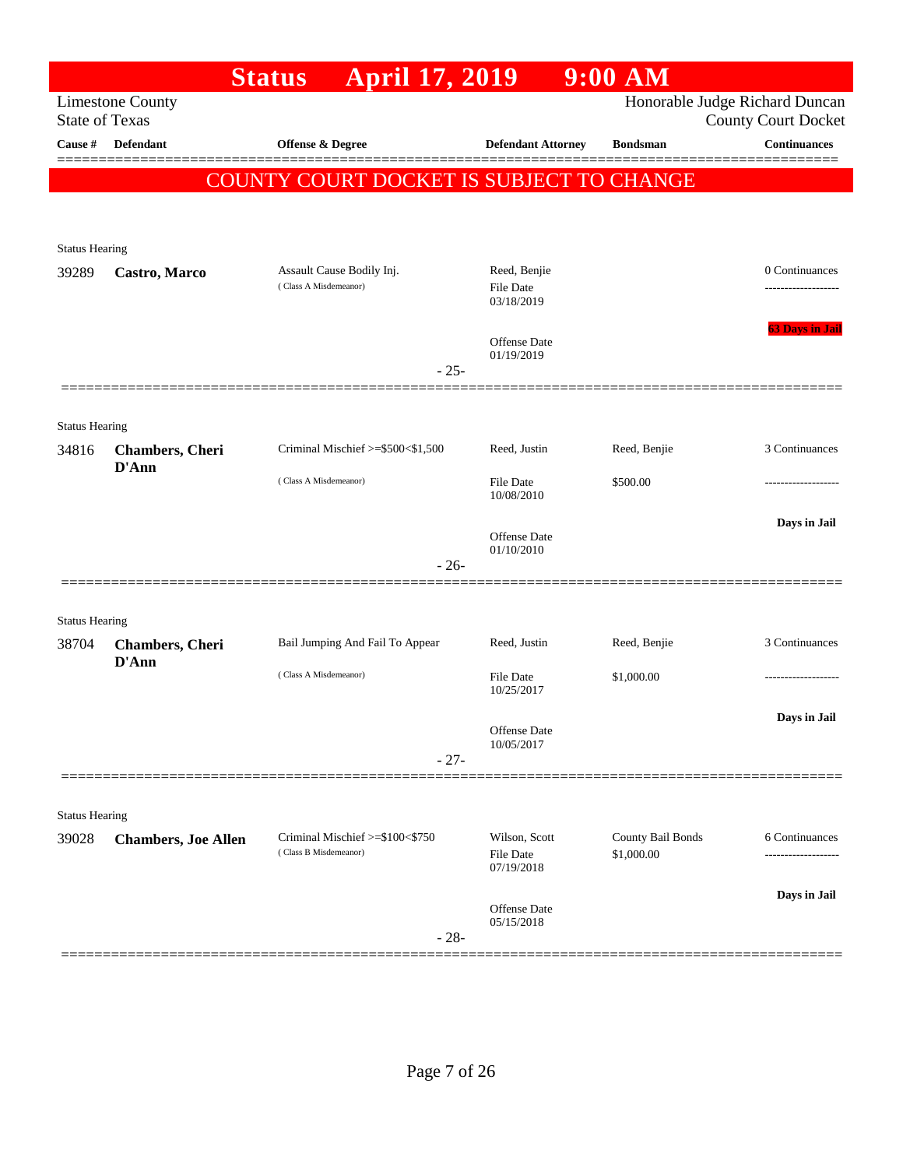|                       |                                  | <b>April 17, 2019</b><br><b>Status</b>                   |                                   | $9:00$ AM                       |                                |
|-----------------------|----------------------------------|----------------------------------------------------------|-----------------------------------|---------------------------------|--------------------------------|
|                       | <b>Limestone County</b>          |                                                          |                                   |                                 | Honorable Judge Richard Duncan |
| <b>State of Texas</b> |                                  |                                                          |                                   |                                 | <b>County Court Docket</b>     |
| Cause #               | <b>Defendant</b>                 | Offense & Degree                                         | <b>Defendant Attorney</b>         | <b>Bondsman</b>                 | <b>Continuances</b>            |
|                       |                                  | <b>COUNTY COURT DOCKET IS SUBJECT TO CHANGE</b>          |                                   |                                 |                                |
|                       |                                  |                                                          |                                   |                                 |                                |
| <b>Status Hearing</b> |                                  |                                                          |                                   |                                 |                                |
| 39289                 | Castro, Marco                    | Assault Cause Bodily Inj.                                | Reed, Benjie                      |                                 | 0 Continuances                 |
|                       |                                  | (Class A Misdemeanor)                                    | <b>File Date</b><br>03/18/2019    |                                 |                                |
|                       |                                  |                                                          | <b>Offense Date</b><br>01/19/2019 |                                 | <b>63 Days in Jail</b>         |
|                       |                                  | $-25-$                                                   |                                   |                                 |                                |
| <b>Status Hearing</b> |                                  |                                                          |                                   |                                 |                                |
| 34816                 | <b>Chambers</b> , Cheri          | Criminal Mischief >=\$500<\$1,500                        | Reed, Justin                      | Reed, Benjie                    | 3 Continuances                 |
|                       | D'Ann                            | (Class A Misdemeanor)                                    | <b>File Date</b><br>10/08/2010    | \$500.00                        | .                              |
|                       |                                  |                                                          | <b>Offense Date</b>               |                                 | Days in Jail                   |
|                       |                                  | $-26-$                                                   | 01/10/2010                        |                                 |                                |
|                       |                                  |                                                          |                                   |                                 |                                |
| <b>Status Hearing</b> |                                  |                                                          |                                   |                                 |                                |
| 38704                 | <b>Chambers</b> , Cheri<br>D'Ann | Bail Jumping And Fail To Appear                          | Reed, Justin                      | Reed, Benjie                    | 3 Continuances                 |
|                       |                                  | (Class A Misdemeanor)                                    | File Date<br>10/25/2017           | \$1,000.00                      | .                              |
|                       |                                  |                                                          | Offense Date                      |                                 | Days in Jail                   |
|                       |                                  |                                                          | 10/05/2017                        |                                 |                                |
|                       |                                  | $-27-$                                                   |                                   |                                 |                                |
| <b>Status Hearing</b> |                                  |                                                          |                                   |                                 |                                |
| 39028                 | <b>Chambers, Joe Allen</b>       | Criminal Mischief >=\$100<\$750<br>(Class B Misdemeanor) | Wilson, Scott<br><b>File Date</b> | County Bail Bonds<br>\$1,000.00 | 6 Continuances                 |
|                       |                                  |                                                          | 07/19/2018                        |                                 |                                |
|                       |                                  | $-28-$                                                   | <b>Offense Date</b><br>05/15/2018 |                                 | Days in Jail                   |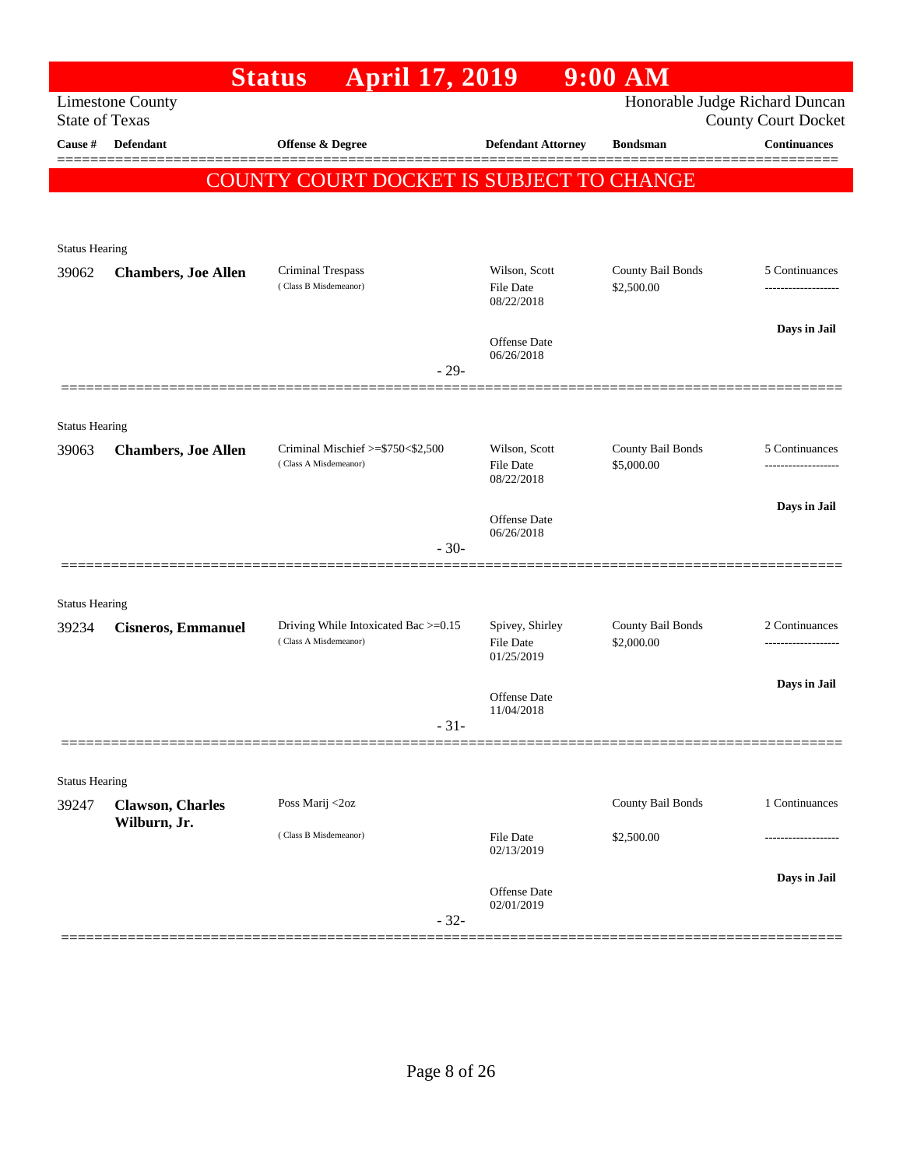|                       |                                         | <b>April 17, 2019</b><br><b>Status</b>                     |                                   | $9:00$ AM                       |                                                   |
|-----------------------|-----------------------------------------|------------------------------------------------------------|-----------------------------------|---------------------------------|---------------------------------------------------|
| <b>State of Texas</b> | <b>Limestone County</b>                 |                                                            |                                   |                                 | Honorable Judge Richard Duncan                    |
| Cause #               | Defendant                               | Offense & Degree                                           | <b>Defendant Attorney</b>         | <b>Bondsman</b>                 | <b>County Court Docket</b><br><b>Continuances</b> |
|                       |                                         |                                                            |                                   |                                 |                                                   |
|                       |                                         | <b>COUNTY COURT DOCKET IS SUBJECT TO CHANGE</b>            |                                   |                                 |                                                   |
|                       |                                         |                                                            |                                   |                                 |                                                   |
| <b>Status Hearing</b> |                                         |                                                            |                                   |                                 |                                                   |
| 39062                 | <b>Chambers, Joe Allen</b>              | Criminal Trespass                                          | Wilson, Scott                     | County Bail Bonds               | 5 Continuances                                    |
|                       |                                         | (Class B Misdemeanor)                                      | File Date<br>08/22/2018           | \$2,500.00                      |                                                   |
|                       |                                         |                                                            |                                   |                                 | Days in Jail                                      |
|                       |                                         |                                                            | Offense Date<br>06/26/2018        |                                 |                                                   |
|                       |                                         | $-29-$                                                     |                                   |                                 |                                                   |
|                       |                                         |                                                            |                                   |                                 |                                                   |
| <b>Status Hearing</b> |                                         |                                                            |                                   |                                 |                                                   |
| 39063                 | <b>Chambers, Joe Allen</b>              | Criminal Mischief >=\$750<\$2,500<br>(Class A Misdemeanor) | Wilson, Scott<br><b>File Date</b> | County Bail Bonds<br>\$5,000.00 | 5 Continuances                                    |
|                       |                                         |                                                            | 08/22/2018                        |                                 |                                                   |
|                       |                                         |                                                            | Offense Date                      |                                 | Days in Jail                                      |
|                       |                                         | $-30-$                                                     | 06/26/2018                        |                                 |                                                   |
|                       |                                         |                                                            |                                   |                                 |                                                   |
| <b>Status Hearing</b> |                                         |                                                            |                                   |                                 |                                                   |
| 39234                 | <b>Cisneros, Emmanuel</b>               | Driving While Intoxicated Bac >=0.15                       | Spivey, Shirley                   | County Bail Bonds               | 2 Continuances                                    |
|                       |                                         | (Class A Misdemeanor)                                      | <b>File Date</b><br>01/25/2019    | \$2,000.00                      | ------------------                                |
|                       |                                         |                                                            |                                   |                                 | Days in Jail                                      |
|                       |                                         |                                                            | Offense Date<br>11/04/2018        |                                 |                                                   |
|                       |                                         | $-31-$                                                     |                                   |                                 |                                                   |
|                       |                                         |                                                            |                                   |                                 |                                                   |
| <b>Status Hearing</b> |                                         |                                                            |                                   |                                 |                                                   |
| 39247                 | <b>Clawson, Charles</b><br>Wilburn, Jr. | Poss Marij <2oz                                            |                                   | County Bail Bonds               | 1 Continuances                                    |
|                       |                                         | (Class B Misdemeanor)                                      | File Date<br>02/13/2019           | \$2,500.00                      |                                                   |
|                       |                                         |                                                            |                                   |                                 | Days in Jail                                      |
|                       |                                         |                                                            | Offense Date<br>02/01/2019        |                                 |                                                   |
|                       |                                         | $-32-$                                                     |                                   |                                 |                                                   |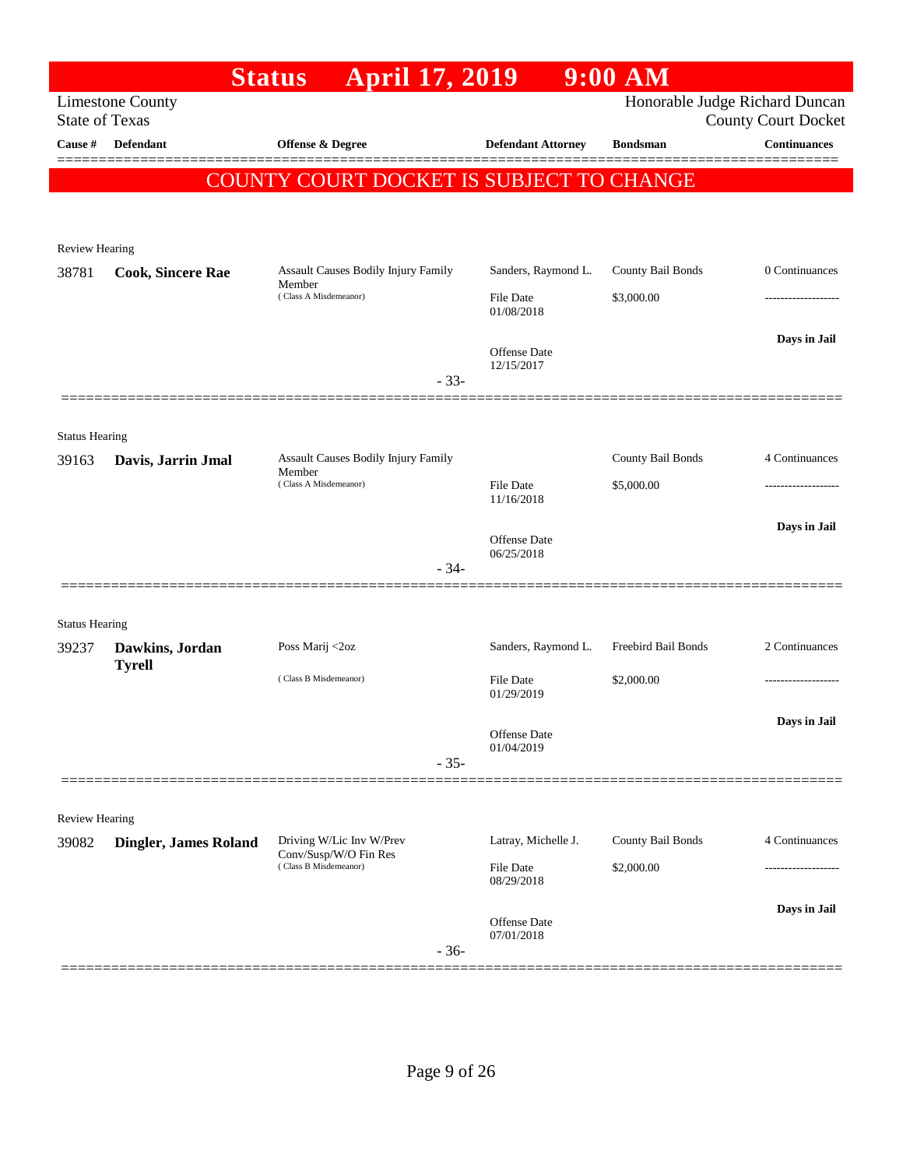|                                |                                                  | <b>April 17, 2019</b><br><b>Status</b>         |                                | $9:00$ AM                      |                            |
|--------------------------------|--------------------------------------------------|------------------------------------------------|--------------------------------|--------------------------------|----------------------------|
|                                | <b>Limestone County</b><br><b>State of Texas</b> |                                                |                                | Honorable Judge Richard Duncan | <b>County Court Docket</b> |
| Cause #                        | <b>Defendant</b>                                 | <b>Offense &amp; Degree</b>                    | <b>Defendant Attorney</b>      | <b>Bondsman</b>                | <b>Continuances</b>        |
|                                |                                                  | COUNTY COURT DOCKET IS SUBJECT TO CHANGE       |                                |                                |                            |
|                                |                                                  |                                                |                                |                                |                            |
|                                |                                                  |                                                |                                |                                |                            |
| <b>Review Hearing</b><br>38781 | <b>Cook, Sincere Rae</b>                         | Assault Causes Bodily Injury Family            | Sanders, Raymond L.            | County Bail Bonds              | 0 Continuances             |
|                                |                                                  | Member<br>(Class A Misdemeanor)                | <b>File Date</b><br>01/08/2018 | \$3,000.00                     |                            |
|                                |                                                  |                                                | Offense Date                   |                                | Days in Jail               |
|                                |                                                  |                                                | 12/15/2017<br>$-33-$           |                                |                            |
|                                |                                                  |                                                |                                |                                |                            |
| <b>Status Hearing</b><br>39163 | Davis, Jarrin Jmal                               | Assault Causes Bodily Injury Family            |                                | County Bail Bonds              | 4 Continuances             |
|                                |                                                  | Member<br>(Class A Misdemeanor)                | <b>File Date</b><br>11/16/2018 | \$5,000.00                     |                            |
|                                |                                                  |                                                | Offense Date<br>06/25/2018     |                                | Days in Jail               |
|                                |                                                  |                                                | $-34-$                         |                                |                            |
| <b>Status Hearing</b>          |                                                  |                                                |                                |                                |                            |
| 39237                          | Dawkins, Jordan                                  | Poss Marij <2oz                                | Sanders, Raymond L.            | Freebird Bail Bonds            | 2 Continuances             |
|                                | <b>Tyrell</b>                                    | (Class B Misdemeanor)                          | File Date<br>01/29/2019        | \$2,000.00                     |                            |
|                                |                                                  |                                                | Offense Date                   |                                | Days in Jail               |
|                                |                                                  |                                                | 01/04/2019<br>$-35-$           |                                |                            |
|                                |                                                  |                                                |                                |                                |                            |
| <b>Review Hearing</b><br>39082 | <b>Dingler, James Roland</b>                     | Driving W/Lic Inv W/Prev                       | Latray, Michelle J.            | County Bail Bonds              | 4 Continuances             |
|                                |                                                  | Conv/Susp/W/O Fin Res<br>(Class B Misdemeanor) | File Date<br>08/29/2018        | \$2,000.00                     |                            |
|                                |                                                  |                                                | Offense Date<br>07/01/2018     |                                | Days in Jail               |
|                                |                                                  |                                                | $-36-$                         |                                |                            |
|                                |                                                  |                                                |                                |                                |                            |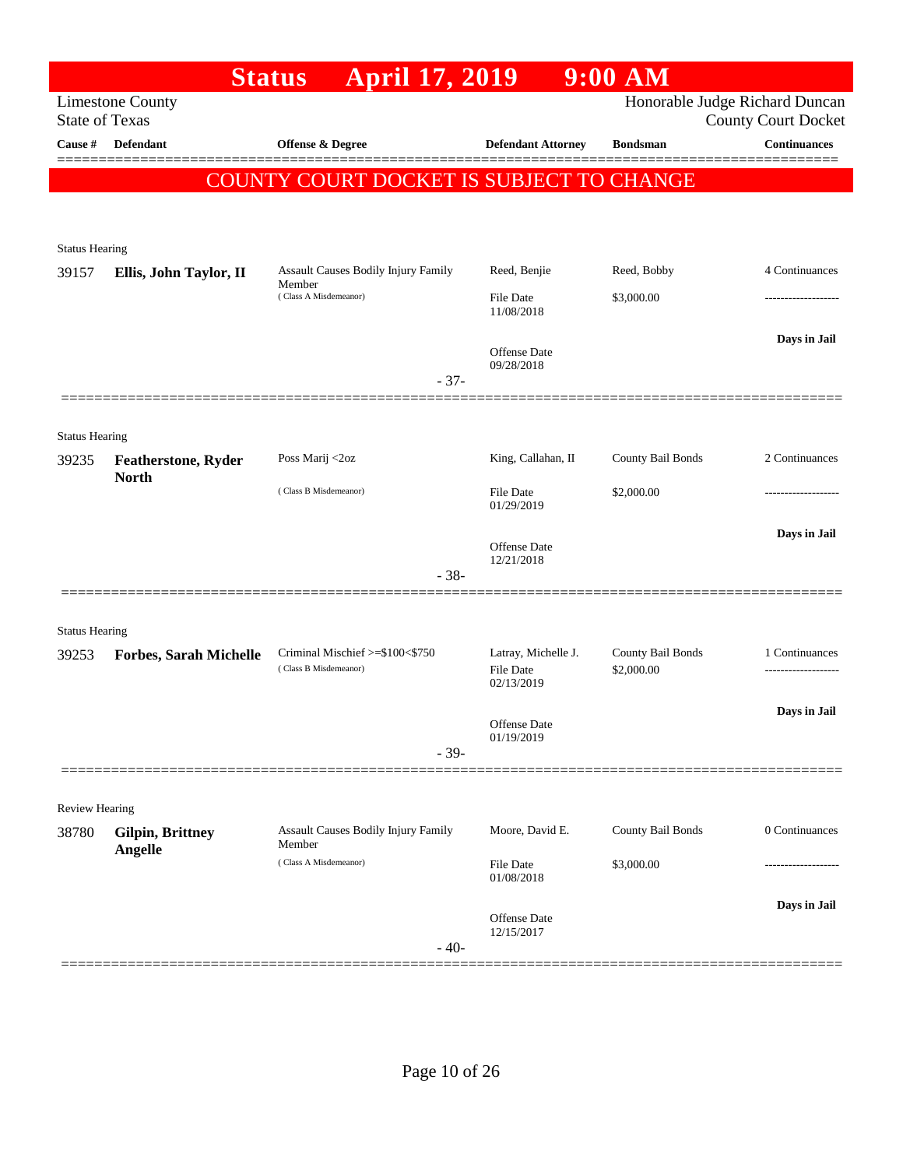|                       |                               | <b>April 17, 2019</b><br><b>Status</b>   |                                | $9:00$ AM         |                                                              |
|-----------------------|-------------------------------|------------------------------------------|--------------------------------|-------------------|--------------------------------------------------------------|
| <b>State of Texas</b> | <b>Limestone County</b>       |                                          |                                |                   | Honorable Judge Richard Duncan<br><b>County Court Docket</b> |
| Cause #               | <b>Defendant</b>              | Offense & Degree                         | <b>Defendant Attorney</b>      | <b>Bondsman</b>   | <b>Continuances</b>                                          |
|                       |                               | COUNTY COURT DOCKET IS SUBJECT TO CHANGE |                                |                   |                                                              |
|                       |                               |                                          |                                |                   |                                                              |
|                       |                               |                                          |                                |                   |                                                              |
| <b>Status Hearing</b> |                               | Assault Causes Bodily Injury Family      | Reed, Benjie                   | Reed, Bobby       | 4 Continuances                                               |
| 39157                 | Ellis, John Taylor, II        | Member<br>(Class A Misdemeanor)          | <b>File Date</b>               | \$3,000.00        |                                                              |
|                       |                               |                                          | 11/08/2018                     |                   |                                                              |
|                       |                               |                                          | <b>Offense Date</b>            |                   | Days in Jail                                                 |
|                       |                               | $-37-$                                   | 09/28/2018                     |                   |                                                              |
|                       |                               |                                          |                                |                   |                                                              |
| <b>Status Hearing</b> |                               |                                          |                                |                   |                                                              |
| 39235                 | <b>Featherstone, Ryder</b>    | Poss Marij <2oz                          | King, Callahan, II             | County Bail Bonds | 2 Continuances                                               |
|                       | <b>North</b>                  | (Class B Misdemeanor)                    | <b>File Date</b>               | \$2,000.00        |                                                              |
|                       |                               |                                          | 01/29/2019                     |                   |                                                              |
|                       |                               |                                          | <b>Offense Date</b>            |                   | Days in Jail                                                 |
|                       |                               | $-38-$                                   | 12/21/2018                     |                   |                                                              |
|                       |                               |                                          |                                |                   |                                                              |
| <b>Status Hearing</b> |                               |                                          |                                |                   |                                                              |
| 39253                 | <b>Forbes, Sarah Michelle</b> | Criminal Mischief >=\$100<\$750          | Latray, Michelle J.            | County Bail Bonds | 1 Continuances                                               |
|                       |                               | (Class B Misdemeanor)                    | <b>File Date</b><br>02/13/2019 | \$2,000.00        | -------------------                                          |
|                       |                               |                                          |                                |                   | Days in Jail                                                 |
|                       |                               |                                          | Offense Date<br>01/19/2019     |                   |                                                              |
|                       |                               | $-39-$                                   |                                |                   |                                                              |
| Review Hearing        |                               |                                          |                                |                   |                                                              |
| 38780                 | <b>Gilpin, Brittney</b>       | Assault Causes Bodily Injury Family      | Moore, David E.                | County Bail Bonds | 0 Continuances                                               |
|                       | Angelle                       | Member<br>(Class A Misdemeanor)          | File Date                      | \$3,000.00        |                                                              |
|                       |                               |                                          | 01/08/2018                     |                   |                                                              |
|                       |                               |                                          | Offense Date                   |                   | Days in Jail                                                 |
|                       |                               | $-40-$                                   | 12/15/2017                     |                   |                                                              |
|                       |                               |                                          |                                |                   |                                                              |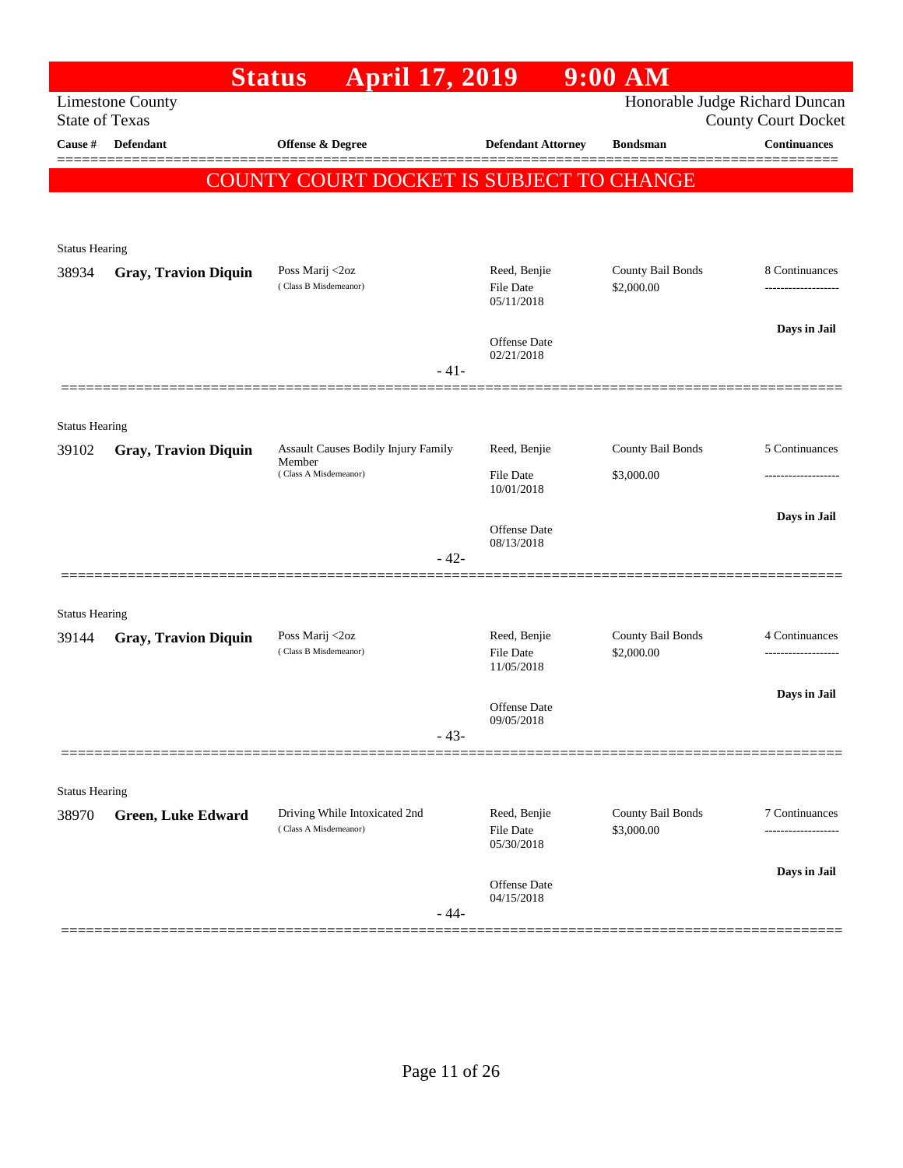|                                |                             | <b>April 17, 2019</b><br><b>Status</b>                 |                  |                                         | 9:00 AM                         |                                                              |
|--------------------------------|-----------------------------|--------------------------------------------------------|------------------|-----------------------------------------|---------------------------------|--------------------------------------------------------------|
| <b>State of Texas</b>          | <b>Limestone County</b>     |                                                        |                  |                                         |                                 | Honorable Judge Richard Duncan<br><b>County Court Docket</b> |
| Cause #                        | Defendant                   | <b>Offense &amp; Degree</b>                            |                  | <b>Defendant Attorney</b>               | <b>Bondsman</b>                 | <b>Continuances</b>                                          |
|                                |                             | COUNTY COURT DOCKET IS SUBJECT TO CHANGE               |                  |                                         |                                 |                                                              |
|                                |                             |                                                        |                  |                                         |                                 |                                                              |
|                                |                             |                                                        |                  |                                         |                                 |                                                              |
| <b>Status Hearing</b>          |                             |                                                        |                  |                                         |                                 |                                                              |
| 38934                          | <b>Gray, Travion Diquin</b> | Poss Marij <2oz<br>(Class B Misdemeanor)               |                  | Reed, Benjie<br>File Date<br>05/11/2018 | County Bail Bonds<br>\$2,000.00 | 8 Continuances<br>                                           |
|                                |                             |                                                        |                  |                                         |                                 | Days in Jail                                                 |
|                                |                             |                                                        |                  | Offense Date<br>02/21/2018              |                                 |                                                              |
|                                |                             |                                                        | $-41-$           |                                         |                                 |                                                              |
|                                |                             |                                                        |                  |                                         |                                 |                                                              |
| <b>Status Hearing</b><br>39102 | <b>Gray, Travion Diquin</b> | Assault Causes Bodily Injury Family                    |                  | Reed, Benjie                            | County Bail Bonds               | 5 Continuances                                               |
|                                | Member                      | (Class A Misdemeanor)                                  | <b>File Date</b> | \$3,000.00                              |                                 |                                                              |
|                                |                             |                                                        |                  | 10/01/2018                              |                                 |                                                              |
|                                |                             |                                                        |                  | Offense Date                            |                                 | Days in Jail                                                 |
|                                |                             |                                                        | $-42-$           | 08/13/2018                              |                                 |                                                              |
|                                |                             |                                                        |                  |                                         |                                 |                                                              |
| <b>Status Hearing</b>          |                             |                                                        |                  |                                         |                                 |                                                              |
| 39144                          | <b>Gray, Travion Diquin</b> | Poss Marij <2oz<br>(Class B Misdemeanor)               |                  | Reed, Benjie<br>File Date               | County Bail Bonds<br>\$2,000.00 | 4 Continuances<br>------------------                         |
|                                |                             |                                                        |                  | 11/05/2018                              |                                 |                                                              |
|                                |                             |                                                        |                  | Offense Date                            |                                 | Days in Jail                                                 |
|                                |                             |                                                        | - 43-            | 09/05/2018                              |                                 |                                                              |
|                                |                             |                                                        |                  |                                         |                                 |                                                              |
| <b>Status Hearing</b>          |                             |                                                        |                  |                                         |                                 |                                                              |
| 38970                          | <b>Green, Luke Edward</b>   | Driving While Intoxicated 2nd<br>(Class A Misdemeanor) |                  | Reed, Benjie<br>File Date               | County Bail Bonds<br>\$3,000.00 | 7 Continuances<br>-------------                              |
|                                |                             |                                                        |                  | 05/30/2018                              |                                 |                                                              |
|                                |                             |                                                        |                  | Offense Date                            |                                 | Days in Jail                                                 |
|                                |                             |                                                        | $-44-$           | 04/15/2018                              |                                 |                                                              |
|                                |                             |                                                        |                  |                                         |                                 |                                                              |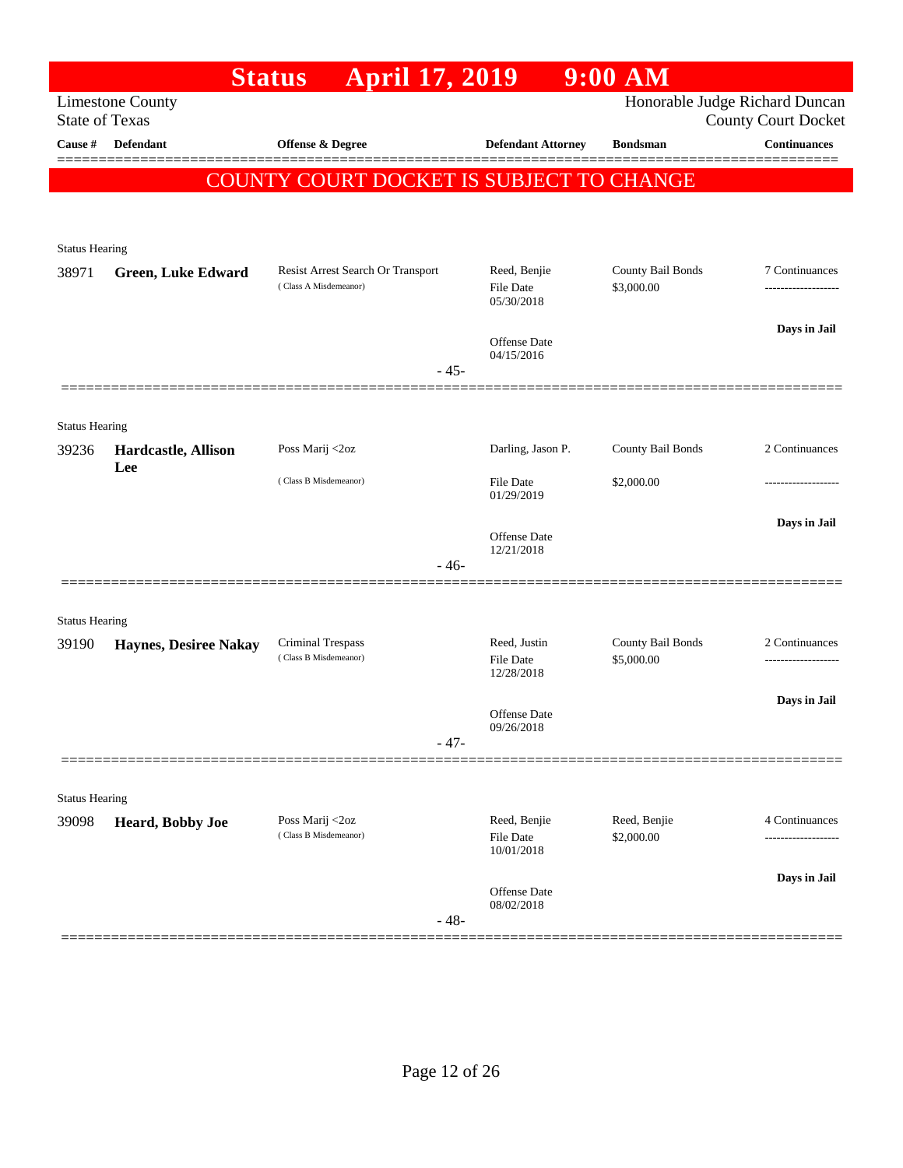|                       |                              | April 17, 2019<br><b>Status</b>                   |                                  | $9:00$ AM                       |                                                   |
|-----------------------|------------------------------|---------------------------------------------------|----------------------------------|---------------------------------|---------------------------------------------------|
| <b>State of Texas</b> | <b>Limestone County</b>      |                                                   |                                  |                                 | Honorable Judge Richard Duncan                    |
| <b>Cause</b> #        | Defendant                    | Offense & Degree                                  | <b>Defendant Attorney</b>        | <b>Bondsman</b>                 | <b>County Court Docket</b><br><b>Continuances</b> |
|                       |                              |                                                   |                                  |                                 |                                                   |
|                       |                              | <b>COUNTY COURT DOCKET IS SUBJECT TO CHANGE</b>   |                                  |                                 |                                                   |
|                       |                              |                                                   |                                  |                                 |                                                   |
| <b>Status Hearing</b> |                              |                                                   |                                  |                                 |                                                   |
| 38971                 | <b>Green, Luke Edward</b>    | Resist Arrest Search Or Transport                 | Reed, Benjie                     | County Bail Bonds               | 7 Continuances                                    |
|                       |                              | (Class A Misdemeanor)                             | <b>File Date</b><br>05/30/2018   | \$3,000.00                      |                                                   |
|                       |                              |                                                   |                                  |                                 | Days in Jail                                      |
|                       |                              |                                                   | Offense Date<br>04/15/2016       |                                 |                                                   |
|                       |                              | $-45-$                                            |                                  |                                 |                                                   |
|                       |                              |                                                   |                                  |                                 |                                                   |
| <b>Status Hearing</b> |                              |                                                   |                                  |                                 | 2 Continuances                                    |
| 39236                 | Hardcastle, Allison<br>Lee   | Poss Marij <2oz                                   | Darling, Jason P.                | County Bail Bonds               |                                                   |
|                       |                              | (Class B Misdemeanor)                             | <b>File Date</b><br>01/29/2019   | \$2,000.00                      |                                                   |
|                       |                              |                                                   |                                  |                                 | Days in Jail                                      |
|                       |                              |                                                   | Offense Date<br>12/21/2018       |                                 |                                                   |
|                       |                              | $-46-$                                            |                                  |                                 |                                                   |
|                       |                              |                                                   |                                  |                                 |                                                   |
| <b>Status Hearing</b> |                              |                                                   |                                  |                                 |                                                   |
| 39190                 | <b>Haynes, Desiree Nakay</b> | <b>Criminal Trespass</b><br>(Class B Misdemeanor) | Reed, Justin<br><b>File Date</b> | County Bail Bonds<br>\$5,000.00 | 2 Continuances                                    |
|                       |                              |                                                   | 12/28/2018                       |                                 |                                                   |
|                       |                              |                                                   | Offense Date                     |                                 | Days in Jail                                      |
|                       |                              | $-47-$                                            | 09/26/2018                       |                                 |                                                   |
|                       |                              |                                                   |                                  |                                 |                                                   |
| <b>Status Hearing</b> |                              |                                                   |                                  |                                 |                                                   |
| 39098                 | Heard, Bobby Joe             | Poss Marij <2oz                                   | Reed, Benjie                     | Reed, Benjie                    | 4 Continuances                                    |
|                       |                              | (Class B Misdemeanor)                             | <b>File Date</b><br>10/01/2018   | \$2,000.00                      | .                                                 |
|                       |                              |                                                   |                                  |                                 | Days in Jail                                      |
|                       |                              |                                                   | Offense Date<br>08/02/2018       |                                 |                                                   |
|                       |                              | $-48-$                                            |                                  |                                 |                                                   |
|                       |                              |                                                   |                                  |                                 |                                                   |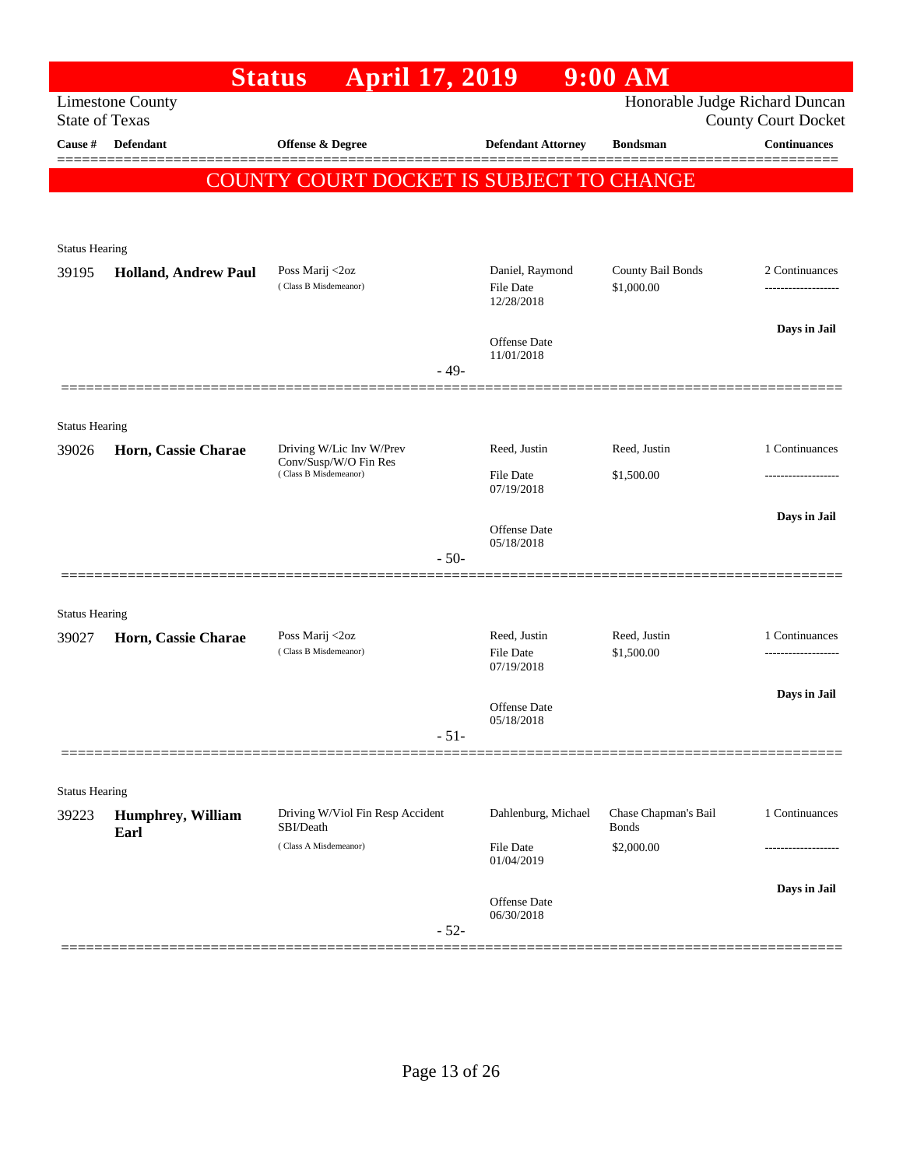|                                |                             | April 17, 2019<br><b>Status</b>                |                                            | $9:00$ AM                            |                                                              |
|--------------------------------|-----------------------------|------------------------------------------------|--------------------------------------------|--------------------------------------|--------------------------------------------------------------|
| <b>State of Texas</b>          | <b>Limestone County</b>     |                                                |                                            |                                      | Honorable Judge Richard Duncan<br><b>County Court Docket</b> |
| Cause #                        | <b>Defendant</b>            | Offense & Degree                               | <b>Defendant Attorney</b>                  | <b>Bondsman</b>                      | Continuances                                                 |
|                                |                             |                                                |                                            |                                      |                                                              |
|                                |                             | COUNTY COURT DOCKET IS SUBJECT TO CHANGE       |                                            |                                      |                                                              |
|                                |                             |                                                |                                            |                                      |                                                              |
| <b>Status Hearing</b>          |                             |                                                |                                            |                                      |                                                              |
| 39195                          | <b>Holland, Andrew Paul</b> | Poss Marij <2oz<br>(Class B Misdemeanor)       | Daniel, Raymond<br>File Date<br>12/28/2018 | County Bail Bonds<br>\$1,000.00      | 2 Continuances<br>                                           |
|                                |                             |                                                | Offense Date<br>11/01/2018                 |                                      | Days in Jail                                                 |
|                                |                             | $-49-$                                         |                                            |                                      |                                                              |
|                                |                             |                                                |                                            |                                      |                                                              |
| <b>Status Hearing</b><br>39026 | Horn, Cassie Charae         | Driving W/Lic Inv W/Prev                       | Reed, Justin                               | Reed, Justin                         | 1 Continuances                                               |
|                                |                             | Conv/Susp/W/O Fin Res<br>(Class B Misdemeanor) | <b>File Date</b><br>07/19/2018             | \$1,500.00                           |                                                              |
|                                |                             |                                                | <b>Offense Date</b><br>05/18/2018          |                                      | Days in Jail                                                 |
|                                |                             | $-50-$                                         |                                            |                                      |                                                              |
|                                |                             |                                                |                                            |                                      |                                                              |
| <b>Status Hearing</b>          |                             | Poss Marij <2oz                                | Reed, Justin                               |                                      |                                                              |
| 39027                          | Horn, Cassie Charae         | (Class B Misdemeanor)                          | <b>File Date</b><br>07/19/2018             | Reed, Justin<br>\$1,500.00           | 1 Continuances<br>-------------------                        |
|                                |                             |                                                | <b>Offense</b> Date                        |                                      | Days in Jail                                                 |
|                                |                             | $-51-$                                         | 05/18/2018                                 |                                      |                                                              |
|                                |                             |                                                |                                            |                                      |                                                              |
| <b>Status Hearing</b>          |                             |                                                |                                            |                                      |                                                              |
| 39223                          | Humphrey, William<br>Earl   | Driving W/Viol Fin Resp Accident<br>SBI/Death  | Dahlenburg, Michael                        | Chase Chapman's Bail<br><b>Bonds</b> | 1 Continuances                                               |
|                                |                             | (Class A Misdemeanor)                          | File Date<br>01/04/2019                    | \$2,000.00                           |                                                              |
|                                |                             |                                                |                                            |                                      | Days in Jail                                                 |
|                                |                             | $-52-$                                         | <b>Offense Date</b><br>06/30/2018          |                                      |                                                              |
|                                |                             |                                                |                                            |                                      |                                                              |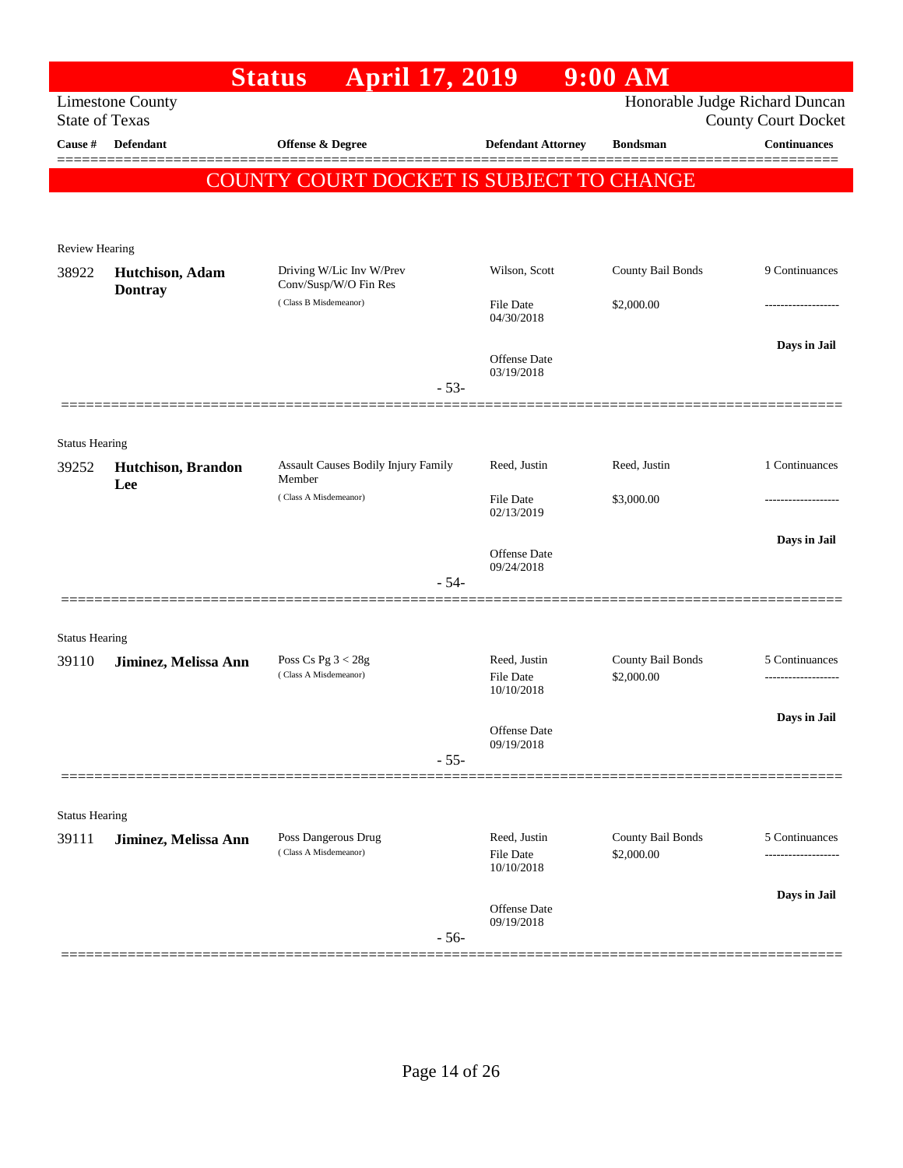|                                |                                   | <b>April 17, 2019</b><br><b>Status</b>            |                                                | $9:00$ AM                       |                                                              |
|--------------------------------|-----------------------------------|---------------------------------------------------|------------------------------------------------|---------------------------------|--------------------------------------------------------------|
| <b>State of Texas</b>          | <b>Limestone County</b>           |                                                   |                                                |                                 | Honorable Judge Richard Duncan<br><b>County Court Docket</b> |
| Cause #                        | <b>Defendant</b>                  | <b>Offense &amp; Degree</b>                       | <b>Defendant Attorney</b>                      | <b>Bondsman</b>                 | <b>Continuances</b>                                          |
|                                |                                   | COUNTY COURT DOCKET IS SUBJECT TO CHANGE          |                                                |                                 |                                                              |
|                                |                                   |                                                   |                                                |                                 |                                                              |
| Review Hearing                 |                                   |                                                   |                                                |                                 |                                                              |
| 38922                          | Hutchison, Adam<br><b>Dontray</b> | Driving W/Lic Inv W/Prev<br>Conv/Susp/W/O Fin Res | Wilson, Scott                                  | County Bail Bonds               | 9 Continuances                                               |
|                                |                                   | (Class B Misdemeanor)                             | <b>File Date</b><br>04/30/2018                 | \$2,000.00                      | -----------------                                            |
|                                |                                   |                                                   | Offense Date                                   |                                 | Days in Jail                                                 |
|                                |                                   | $-53-$                                            | 03/19/2018                                     |                                 |                                                              |
|                                |                                   |                                                   |                                                |                                 |                                                              |
| <b>Status Hearing</b>          |                                   |                                                   |                                                |                                 |                                                              |
| 39252                          | <b>Hutchison</b> , Brandon<br>Lee | Assault Causes Bodily Injury Family<br>Member     | Reed, Justin                                   | Reed, Justin                    | 1 Continuances                                               |
|                                |                                   | (Class A Misdemeanor)                             | <b>File Date</b><br>02/13/2019                 | \$3,000.00                      | .                                                            |
|                                |                                   |                                                   | Offense Date                                   |                                 | Days in Jail                                                 |
|                                |                                   | $-54-$                                            | 09/24/2018                                     |                                 |                                                              |
|                                |                                   |                                                   |                                                |                                 |                                                              |
| <b>Status Hearing</b><br>39110 | Jiminez, Melissa Ann              | Poss Cs Pg $3 < 28g$                              | Reed, Justin                                   | County Bail Bonds               | 5 Continuances                                               |
|                                |                                   | (Class A Misdemeanor)                             | <b>File Date</b><br>10/10/2018                 | \$2,000.00                      |                                                              |
|                                |                                   |                                                   | Offense Date                                   |                                 | Days in Jail                                                 |
|                                |                                   | $-55-$                                            | 09/19/2018                                     |                                 |                                                              |
|                                |                                   |                                                   |                                                |                                 |                                                              |
| <b>Status Hearing</b>          |                                   |                                                   |                                                |                                 |                                                              |
| 39111                          | Jiminez, Melissa Ann              | Poss Dangerous Drug<br>(Class A Misdemeanor)      | Reed, Justin<br><b>File Date</b><br>10/10/2018 | County Bail Bonds<br>\$2,000.00 | 5 Continuances                                               |
|                                |                                   |                                                   | Offense Date                                   |                                 | Days in Jail                                                 |
|                                |                                   | $-56-$                                            | 09/19/2018                                     |                                 |                                                              |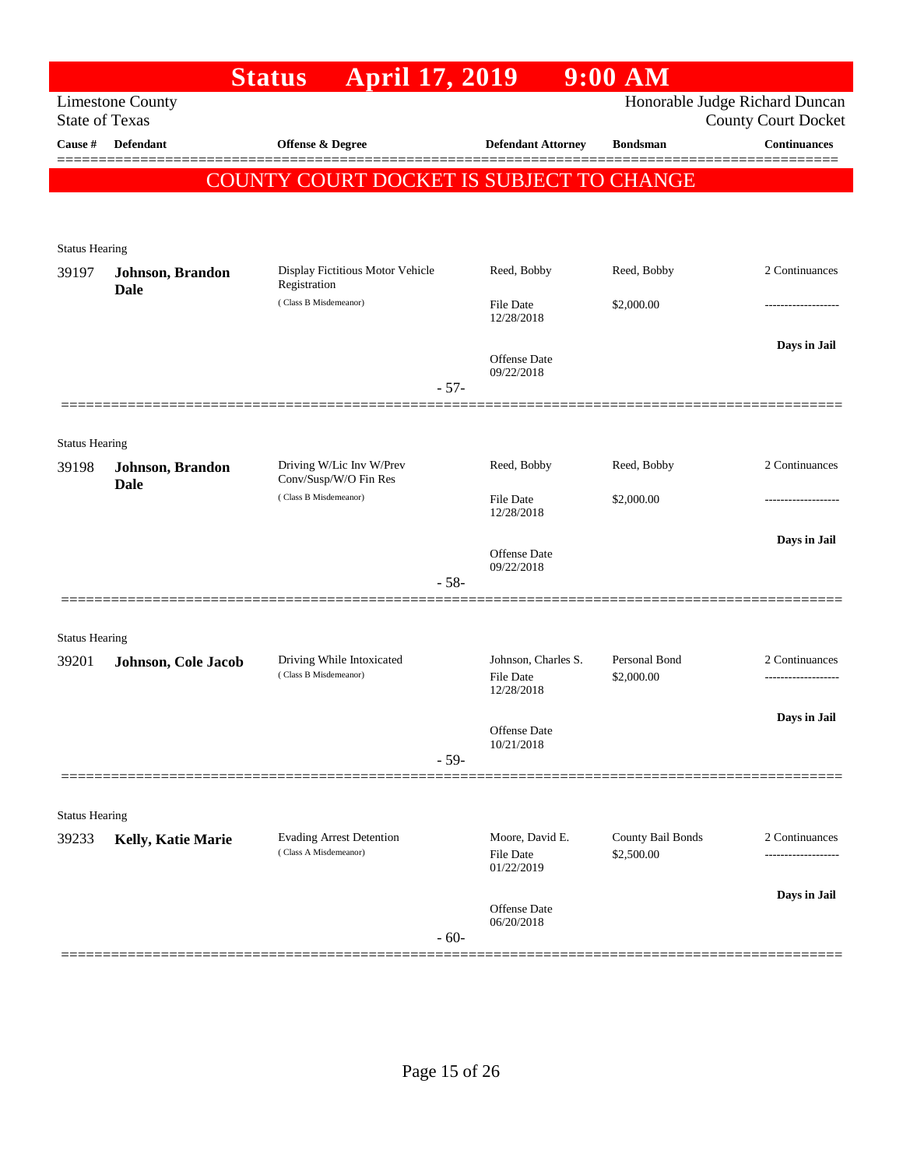|                                |                                 | April 17, 2019<br><b>Status</b>                          |                                            | $9:00$ AM                       |                                                              |
|--------------------------------|---------------------------------|----------------------------------------------------------|--------------------------------------------|---------------------------------|--------------------------------------------------------------|
| <b>State of Texas</b>          | <b>Limestone County</b>         |                                                          |                                            |                                 | Honorable Judge Richard Duncan<br><b>County Court Docket</b> |
| Cause #                        | Defendant                       | Offense & Degree                                         | <b>Defendant Attorney</b>                  | <b>Bondsman</b>                 | <b>Continuances</b>                                          |
|                                |                                 |                                                          |                                            |                                 |                                                              |
|                                |                                 | COUNTY COURT DOCKET IS SUBJECT TO CHANGE                 |                                            |                                 |                                                              |
|                                |                                 |                                                          |                                            |                                 |                                                              |
| <b>Status Hearing</b>          |                                 |                                                          |                                            |                                 |                                                              |
| 39197                          | Johnson, Brandon                | Display Fictitious Motor Vehicle<br>Registration         | Reed, Bobby                                | Reed, Bobby                     | 2 Continuances                                               |
|                                | <b>Dale</b>                     | (Class B Misdemeanor)                                    | <b>File Date</b><br>12/28/2018             | \$2,000.00                      |                                                              |
|                                |                                 |                                                          |                                            |                                 | Days in Jail                                                 |
|                                |                                 |                                                          | Offense Date<br>09/22/2018                 |                                 |                                                              |
|                                |                                 | $-57-$                                                   |                                            |                                 |                                                              |
|                                |                                 |                                                          |                                            |                                 |                                                              |
| <b>Status Hearing</b>          |                                 | Driving W/Lic Inv W/Prev                                 | Reed, Bobby                                | Reed, Bobby                     | 2 Continuances                                               |
| 39198                          | Johnson, Brandon<br><b>Dale</b> | Conv/Susp/W/O Fin Res                                    |                                            |                                 |                                                              |
|                                |                                 | (Class B Misdemeanor)                                    | <b>File Date</b><br>12/28/2018             | \$2,000.00                      |                                                              |
|                                |                                 |                                                          |                                            |                                 | Days in Jail                                                 |
|                                |                                 |                                                          | Offense Date<br>09/22/2018                 |                                 |                                                              |
|                                |                                 | $-58-$                                                   |                                            |                                 |                                                              |
|                                |                                 |                                                          |                                            |                                 |                                                              |
| <b>Status Hearing</b><br>39201 | Johnson, Cole Jacob             | Driving While Intoxicated                                | Johnson, Charles S.                        | Personal Bond                   | 2 Continuances                                               |
|                                |                                 | (Class B Misdemeanor)                                    | <b>File Date</b><br>12/28/2018             | \$2,000.00                      |                                                              |
|                                |                                 |                                                          |                                            |                                 | Days in Jail                                                 |
|                                |                                 |                                                          | Offense Date<br>10/21/2018                 |                                 |                                                              |
|                                |                                 | $-59-$                                                   |                                            |                                 |                                                              |
|                                |                                 |                                                          |                                            |                                 |                                                              |
| <b>Status Hearing</b>          |                                 |                                                          |                                            |                                 |                                                              |
| 39233                          | Kelly, Katie Marie              | <b>Evading Arrest Detention</b><br>(Class A Misdemeanor) | Moore, David E.<br>File Date<br>01/22/2019 | County Bail Bonds<br>\$2,500.00 | 2 Continuances<br>-------------------                        |
|                                |                                 |                                                          |                                            |                                 | Days in Jail                                                 |
|                                |                                 | $-60-$                                                   | <b>Offense Date</b><br>06/20/2018          |                                 |                                                              |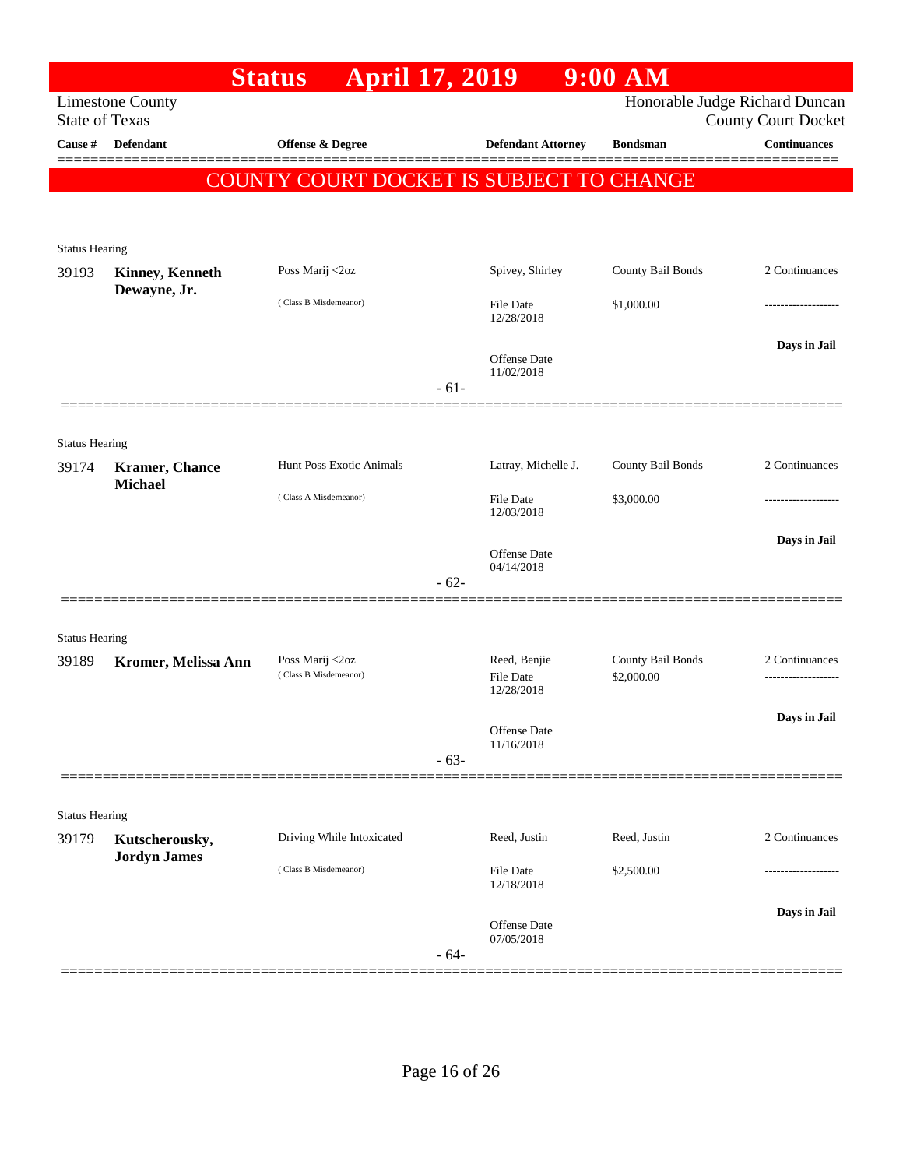|                                |                                  | <b>April 17, 2019</b><br><b>Status</b>   |                       |                            | $9:00$ $\overline{\text{AM}}$   |                                                              |               |
|--------------------------------|----------------------------------|------------------------------------------|-----------------------|----------------------------|---------------------------------|--------------------------------------------------------------|---------------|
| <b>State of Texas</b>          | <b>Limestone County</b>          |                                          |                       |                            |                                 | Honorable Judge Richard Duncan<br><b>County Court Docket</b> |               |
| Cause #                        | <b>Defendant</b>                 | Offense & Degree                         |                       | <b>Defendant Attorney</b>  | <b>Bondsman</b>                 | <b>Continuances</b>                                          |               |
|                                |                                  | COUNTY COURT DOCKET IS SUBJECT TO CHANGE |                       |                            |                                 |                                                              |               |
|                                |                                  |                                          |                       |                            |                                 |                                                              |               |
|                                |                                  |                                          |                       |                            |                                 |                                                              |               |
| <b>Status Hearing</b><br>39193 | <b>Kinney, Kenneth</b>           | Poss Marij <2oz                          |                       | Spivey, Shirley            | County Bail Bonds               | 2 Continuances                                               |               |
|                                | Dewayne, Jr.                     |                                          |                       |                            |                                 |                                                              |               |
|                                |                                  | (Class B Misdemeanor)                    |                       | File Date<br>12/28/2018    | \$1,000.00                      |                                                              |               |
|                                |                                  |                                          |                       |                            |                                 | Days in Jail                                                 |               |
|                                |                                  |                                          |                       | Offense Date<br>11/02/2018 |                                 |                                                              |               |
|                                |                                  |                                          | $-61-$                |                            |                                 |                                                              |               |
|                                |                                  |                                          |                       |                            |                                 |                                                              |               |
| <b>Status Hearing</b>          |                                  | Hunt Poss Exotic Animals                 |                       |                            | County Bail Bonds               | 2 Continuances                                               |               |
| 39174                          | Kramer, Chance<br><b>Michael</b> |                                          |                       | Latray, Michelle J.        |                                 |                                                              |               |
|                                |                                  | (Class A Misdemeanor)                    |                       | File Date<br>12/03/2018    | \$3,000.00                      |                                                              |               |
|                                |                                  |                                          |                       |                            |                                 | Days in Jail                                                 |               |
|                                |                                  |                                          |                       | Offense Date<br>04/14/2018 |                                 |                                                              |               |
|                                |                                  |                                          | $-62-$                |                            |                                 |                                                              |               |
|                                |                                  |                                          |                       |                            |                                 |                                                              |               |
| <b>Status Hearing</b>          |                                  |                                          |                       |                            |                                 |                                                              |               |
| 39189                          | Kromer, Melissa Ann              | Poss Marij <2oz<br>(Class B Misdemeanor) |                       | Reed, Benjie<br>File Date  | County Bail Bonds<br>\$2,000.00 | 2 Continuances                                               |               |
|                                |                                  |                                          |                       | 12/28/2018                 |                                 |                                                              |               |
|                                |                                  |                                          |                       | Offense Date               |                                 | Days in Jail                                                 |               |
|                                |                                  |                                          | $-63-$                | 11/16/2018                 |                                 |                                                              |               |
|                                |                                  |                                          |                       |                            |                                 |                                                              |               |
| <b>Status Hearing</b>          |                                  |                                          |                       |                            |                                 |                                                              |               |
| 39179                          | Kutscherousky,                   | Driving While Intoxicated                |                       | Reed, Justin               | Reed, Justin                    | 2 Continuances                                               |               |
|                                | <b>Jordyn James</b>              |                                          | (Class B Misdemeanor) |                            | File Date                       | \$2,500.00                                                   | ------------- |
|                                |                                  |                                          |                       | 12/18/2018                 |                                 |                                                              |               |
|                                |                                  |                                          |                       | Offense Date               |                                 | Days in Jail                                                 |               |
|                                |                                  |                                          | $-64-$                | 07/05/2018                 |                                 |                                                              |               |
|                                |                                  |                                          |                       |                            |                                 |                                                              |               |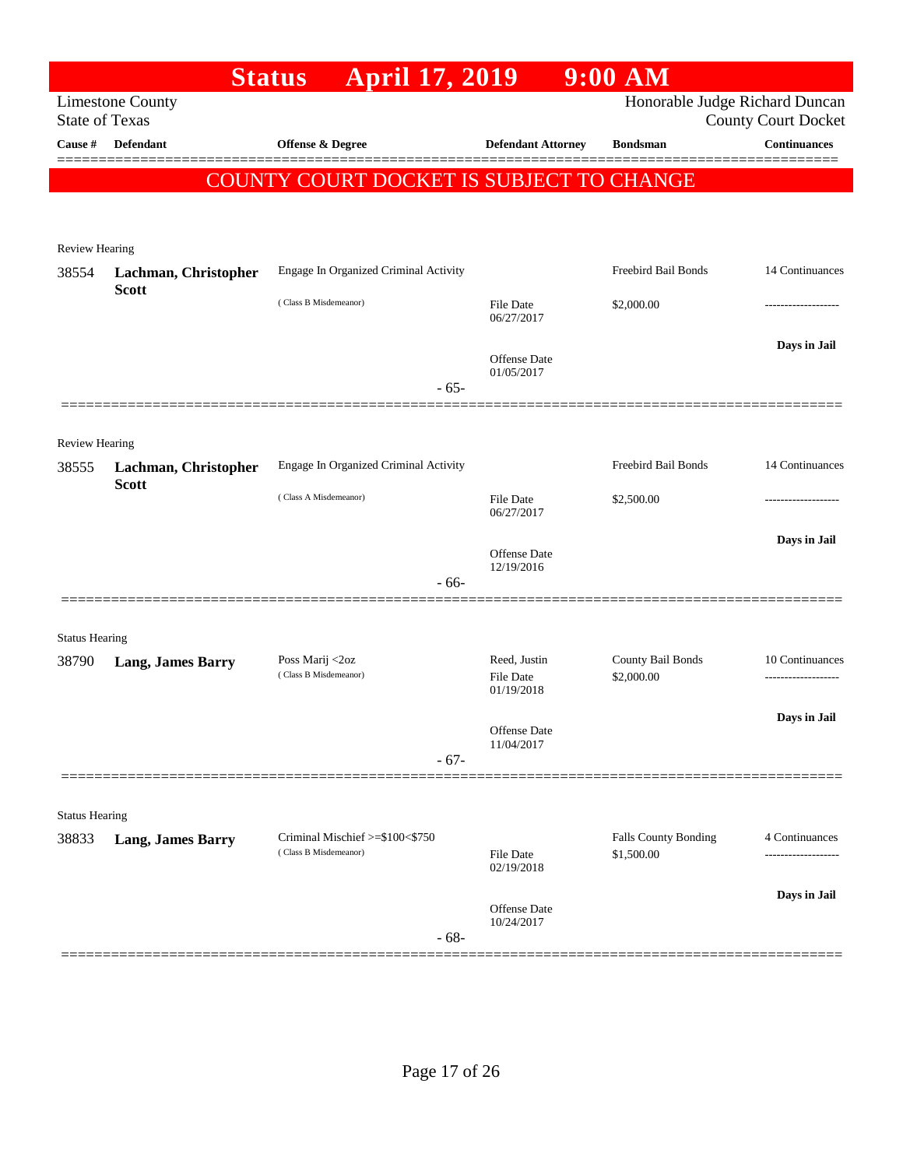| <b>Limestone County</b><br><b>State of Texas</b><br><b>Defendant</b> | <b>Status April 17, 2019</b><br>Offense & Degree                                                                                               |                                                                                                                       | Honorable Judge Richard Duncan                                 | <b>County Court Docket</b>                |
|----------------------------------------------------------------------|------------------------------------------------------------------------------------------------------------------------------------------------|-----------------------------------------------------------------------------------------------------------------------|----------------------------------------------------------------|-------------------------------------------|
|                                                                      |                                                                                                                                                |                                                                                                                       |                                                                |                                           |
|                                                                      |                                                                                                                                                | <b>Defendant Attorney</b>                                                                                             | <b>Bondsman</b>                                                | <b>Continuances</b>                       |
|                                                                      |                                                                                                                                                |                                                                                                                       |                                                                |                                           |
|                                                                      | COUNTY COURT DOCKET IS SUBJECT TO CHANGE                                                                                                       |                                                                                                                       |                                                                |                                           |
|                                                                      |                                                                                                                                                |                                                                                                                       |                                                                |                                           |
| Review Hearing                                                       |                                                                                                                                                |                                                                                                                       |                                                                |                                           |
| Lachman, Christopher                                                 | Engage In Organized Criminal Activity                                                                                                          |                                                                                                                       | Freebird Bail Bonds                                            | 14 Continuances                           |
|                                                                      | (Class B Misdemeanor)                                                                                                                          | <b>File Date</b><br>06/27/2017                                                                                        | \$2,000.00                                                     |                                           |
|                                                                      |                                                                                                                                                |                                                                                                                       |                                                                | Days in Jail                              |
|                                                                      |                                                                                                                                                | 01/05/2017                                                                                                            |                                                                |                                           |
| ================                                                     |                                                                                                                                                |                                                                                                                       |                                                                |                                           |
|                                                                      |                                                                                                                                                |                                                                                                                       |                                                                |                                           |
|                                                                      |                                                                                                                                                |                                                                                                                       | Freebird Bail Bonds                                            | 14 Continuances                           |
| <b>Scott</b>                                                         |                                                                                                                                                |                                                                                                                       |                                                                |                                           |
|                                                                      |                                                                                                                                                | 06/27/2017                                                                                                            |                                                                |                                           |
|                                                                      |                                                                                                                                                |                                                                                                                       |                                                                | Days in Jail                              |
|                                                                      |                                                                                                                                                | 12/19/2016                                                                                                            |                                                                |                                           |
|                                                                      |                                                                                                                                                |                                                                                                                       |                                                                |                                           |
|                                                                      |                                                                                                                                                |                                                                                                                       |                                                                |                                           |
|                                                                      | Poss Marij <2oz                                                                                                                                | Reed, Justin                                                                                                          | County Bail Bonds                                              | 10 Continuances                           |
|                                                                      | (Class B Misdemeanor)                                                                                                                          | <b>File Date</b>                                                                                                      | \$2,000.00                                                     |                                           |
|                                                                      |                                                                                                                                                |                                                                                                                       |                                                                | Days in Jail                              |
|                                                                      |                                                                                                                                                | Offense Date<br>11/04/2017                                                                                            |                                                                |                                           |
|                                                                      | $-67-$                                                                                                                                         |                                                                                                                       |                                                                |                                           |
|                                                                      |                                                                                                                                                |                                                                                                                       |                                                                |                                           |
| <b>Status Hearing</b>                                                |                                                                                                                                                |                                                                                                                       |                                                                |                                           |
|                                                                      | (Class B Misdemeanor)                                                                                                                          | <b>File Date</b><br>02/19/2018                                                                                        | \$1,500.00                                                     | 4 Continuances<br>                        |
|                                                                      |                                                                                                                                                |                                                                                                                       |                                                                | Days in Jail                              |
|                                                                      | $-68-$                                                                                                                                         | <b>Offense Date</b><br>10/24/2017                                                                                     |                                                                |                                           |
|                                                                      | <b>Scott</b><br><b>Review Hearing</b><br>Lachman, Christopher<br><b>Status Hearing</b><br><b>Lang, James Barry</b><br><b>Lang, James Barry</b> | $-65-$<br>Engage In Organized Criminal Activity<br>(Class A Misdemeanor)<br>$-66-$<br>Criminal Mischief >=\$100<\$750 | Offense Date<br><b>File Date</b><br>Offense Date<br>01/19/2018 | \$2,500.00<br><b>Falls County Bonding</b> |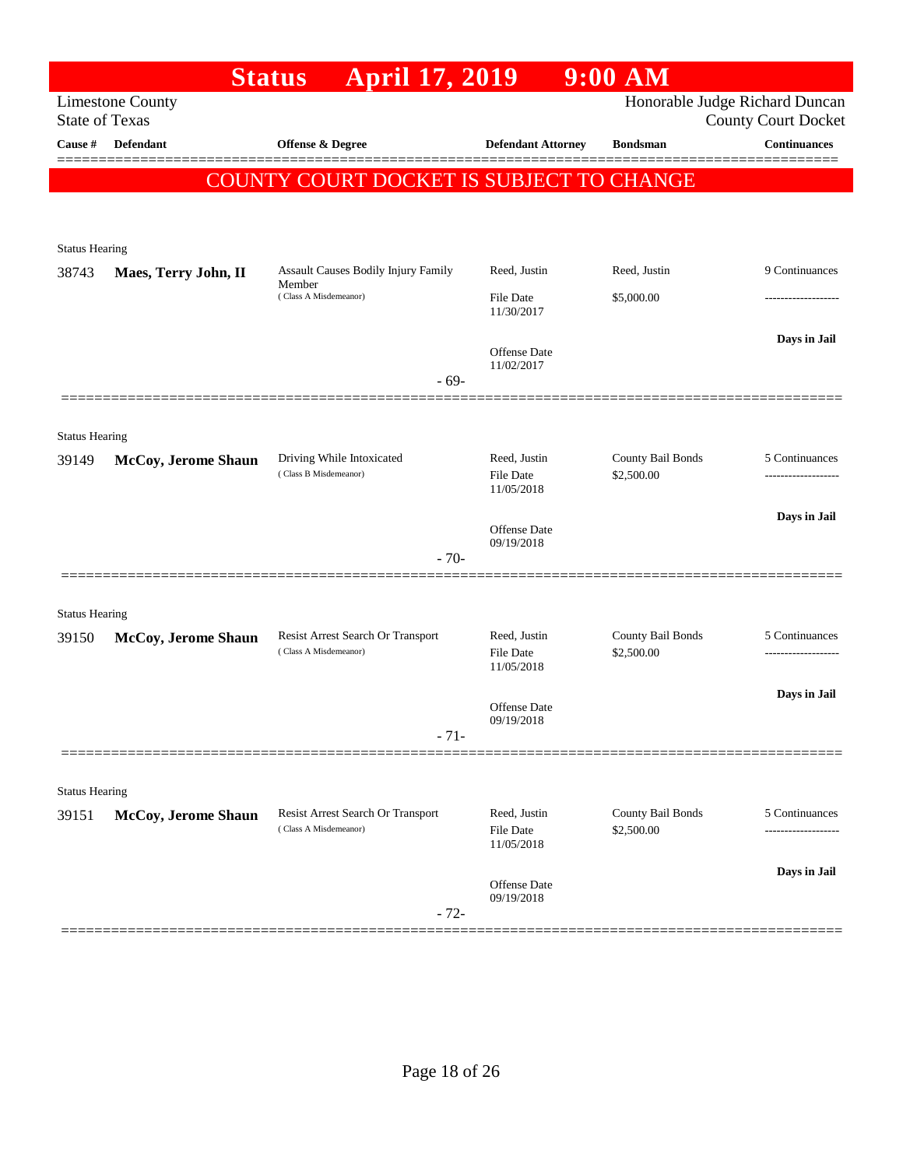|                       |                            | <b>Status</b><br><b>April 17, 2019</b>                     |                                   | $9:00$ AM                       |                                                   |
|-----------------------|----------------------------|------------------------------------------------------------|-----------------------------------|---------------------------------|---------------------------------------------------|
| <b>State of Texas</b> | <b>Limestone County</b>    |                                                            |                                   |                                 | Honorable Judge Richard Duncan                    |
| Cause #               | <b>Defendant</b>           | Offense & Degree                                           | <b>Defendant Attorney</b>         | <b>Bondsman</b>                 | <b>County Court Docket</b><br><b>Continuances</b> |
|                       |                            |                                                            |                                   |                                 |                                                   |
|                       |                            | COUNTY COURT DOCKET IS SUBJECT TO CHANGE                   |                                   |                                 |                                                   |
|                       |                            |                                                            |                                   |                                 |                                                   |
| <b>Status Hearing</b> |                            |                                                            |                                   |                                 |                                                   |
| 38743                 | Maes, Terry John, II       | Assault Causes Bodily Injury Family                        | Reed, Justin                      | Reed, Justin                    | 9 Continuances                                    |
|                       |                            | Member<br>(Class A Misdemeanor)                            | <b>File Date</b><br>11/30/2017    | \$5,000.00                      |                                                   |
|                       |                            |                                                            | <b>Offense</b> Date<br>11/02/2017 |                                 | Days in Jail                                      |
|                       |                            | $-69-$                                                     |                                   |                                 |                                                   |
|                       |                            |                                                            |                                   |                                 |                                                   |
| <b>Status Hearing</b> |                            |                                                            |                                   |                                 |                                                   |
| 39149                 | <b>McCoy, Jerome Shaun</b> | Driving While Intoxicated<br>(Class B Misdemeanor)         | Reed, Justin<br><b>File Date</b>  | County Bail Bonds<br>\$2,500.00 | 5 Continuances                                    |
|                       |                            |                                                            | 11/05/2018                        |                                 |                                                   |
|                       |                            |                                                            | Offense Date                      |                                 | Days in Jail                                      |
|                       |                            | $-70-$                                                     | 09/19/2018                        |                                 |                                                   |
|                       |                            |                                                            |                                   |                                 |                                                   |
| <b>Status Hearing</b> |                            |                                                            |                                   |                                 |                                                   |
| 39150                 | McCoy, Jerome Shaun        | Resist Arrest Search Or Transport<br>(Class A Misdemeanor) | Reed, Justin<br><b>File Date</b>  | County Bail Bonds<br>\$2,500.00 | 5 Continuances<br>----------------                |
|                       |                            |                                                            | 11/05/2018                        |                                 |                                                   |
|                       |                            |                                                            | Offense Date                      |                                 | Days in Jail                                      |
|                       |                            | $-71-$                                                     | 09/19/2018                        |                                 |                                                   |
|                       |                            |                                                            |                                   |                                 |                                                   |
| <b>Status Hearing</b> |                            |                                                            |                                   |                                 |                                                   |
| 39151                 | McCoy, Jerome Shaun        | Resist Arrest Search Or Transport                          | Reed, Justin                      | County Bail Bonds               | 5 Continuances                                    |
|                       |                            | (Class A Misdemeanor)                                      | File Date<br>11/05/2018           | \$2,500.00                      | -------------                                     |
|                       |                            |                                                            |                                   |                                 | Days in Jail                                      |
|                       |                            |                                                            | Offense Date<br>09/19/2018        |                                 |                                                   |
|                       |                            | $-72-$                                                     |                                   |                                 |                                                   |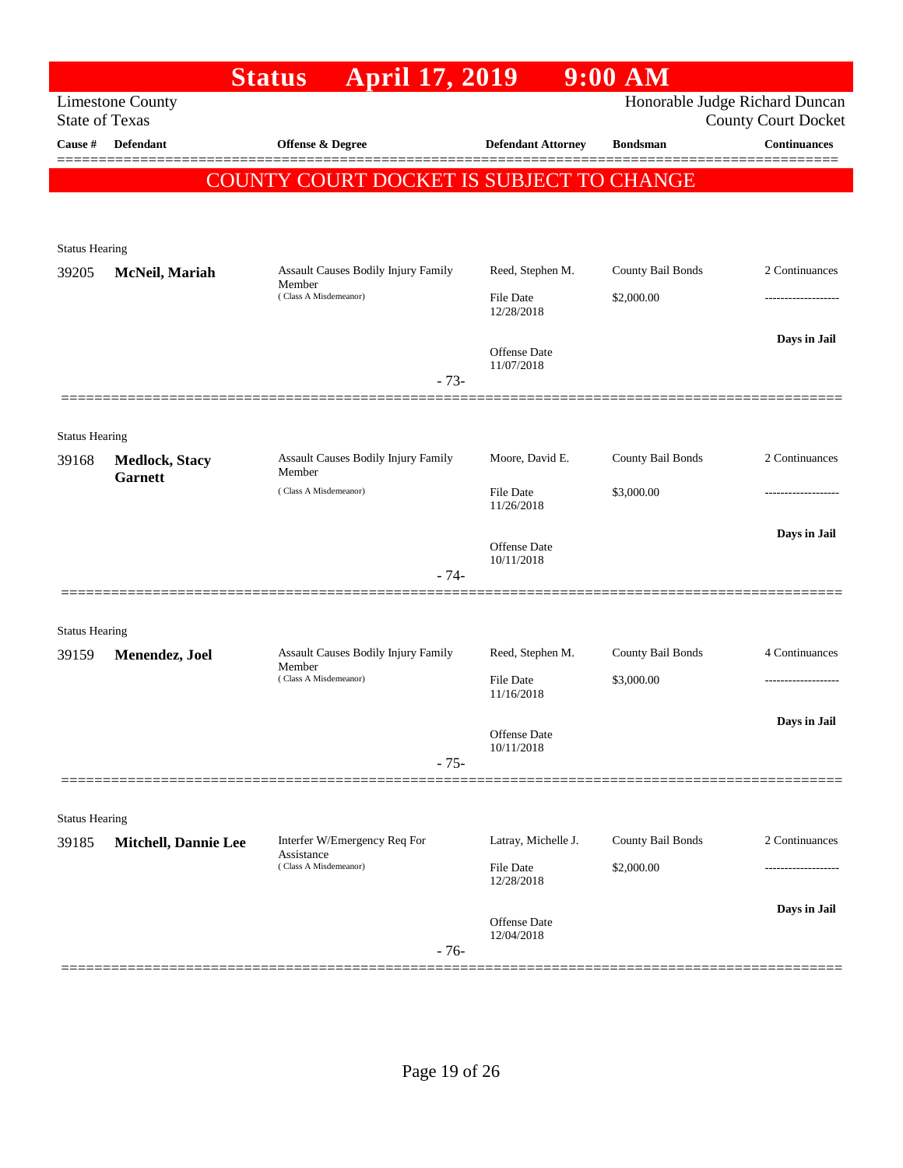|                         | <b>April 17, 2019</b><br><b>Status</b>                                                                 |                                                                                                                                                                                | $9:00$ AM                                                                                                                                      |                                                                                                                                                       |
|-------------------------|--------------------------------------------------------------------------------------------------------|--------------------------------------------------------------------------------------------------------------------------------------------------------------------------------|------------------------------------------------------------------------------------------------------------------------------------------------|-------------------------------------------------------------------------------------------------------------------------------------------------------|
| <b>Limestone County</b> |                                                                                                        |                                                                                                                                                                                |                                                                                                                                                |                                                                                                                                                       |
|                         |                                                                                                        |                                                                                                                                                                                |                                                                                                                                                | <b>County Court Docket</b><br><b>Continuances</b>                                                                                                     |
|                         |                                                                                                        |                                                                                                                                                                                |                                                                                                                                                |                                                                                                                                                       |
|                         |                                                                                                        |                                                                                                                                                                                |                                                                                                                                                |                                                                                                                                                       |
|                         |                                                                                                        |                                                                                                                                                                                |                                                                                                                                                |                                                                                                                                                       |
| <b>Status Hearing</b>   |                                                                                                        |                                                                                                                                                                                |                                                                                                                                                |                                                                                                                                                       |
| McNeil, Mariah          | Assault Causes Bodily Injury Family                                                                    | Reed, Stephen M.                                                                                                                                                               | County Bail Bonds                                                                                                                              | 2 Continuances                                                                                                                                        |
|                         | (Class A Misdemeanor)                                                                                  | File Date                                                                                                                                                                      | \$2,000.00                                                                                                                                     |                                                                                                                                                       |
|                         |                                                                                                        |                                                                                                                                                                                |                                                                                                                                                | Days in Jail                                                                                                                                          |
|                         |                                                                                                        | <b>Offense Date</b>                                                                                                                                                            |                                                                                                                                                |                                                                                                                                                       |
|                         | $-73-$                                                                                                 |                                                                                                                                                                                |                                                                                                                                                |                                                                                                                                                       |
|                         |                                                                                                        |                                                                                                                                                                                |                                                                                                                                                |                                                                                                                                                       |
| <b>Status Hearing</b>   |                                                                                                        |                                                                                                                                                                                |                                                                                                                                                |                                                                                                                                                       |
| <b>Medlock, Stacy</b>   | Member                                                                                                 |                                                                                                                                                                                |                                                                                                                                                | 2 Continuances                                                                                                                                        |
|                         | (Class A Misdemeanor)                                                                                  | File Date                                                                                                                                                                      | \$3,000.00                                                                                                                                     |                                                                                                                                                       |
|                         |                                                                                                        |                                                                                                                                                                                |                                                                                                                                                | Days in Jail                                                                                                                                          |
|                         |                                                                                                        | <b>Offense Date</b><br>10/11/2018                                                                                                                                              |                                                                                                                                                |                                                                                                                                                       |
|                         | $-74-$                                                                                                 |                                                                                                                                                                                |                                                                                                                                                |                                                                                                                                                       |
|                         |                                                                                                        |                                                                                                                                                                                |                                                                                                                                                |                                                                                                                                                       |
| <b>Status Hearing</b>   |                                                                                                        |                                                                                                                                                                                |                                                                                                                                                |                                                                                                                                                       |
|                         | Member                                                                                                 |                                                                                                                                                                                |                                                                                                                                                | 4 Continuances                                                                                                                                        |
|                         |                                                                                                        | 11/16/2018                                                                                                                                                                     |                                                                                                                                                |                                                                                                                                                       |
|                         |                                                                                                        |                                                                                                                                                                                |                                                                                                                                                | Days in Jail                                                                                                                                          |
|                         |                                                                                                        | 10/11/2018                                                                                                                                                                     |                                                                                                                                                |                                                                                                                                                       |
|                         |                                                                                                        |                                                                                                                                                                                |                                                                                                                                                |                                                                                                                                                       |
|                         |                                                                                                        |                                                                                                                                                                                |                                                                                                                                                |                                                                                                                                                       |
|                         | Interfer W/Emergency Req For                                                                           | Latray, Michelle J.                                                                                                                                                            | County Bail Bonds                                                                                                                              | 2 Continuances                                                                                                                                        |
|                         | Assistance<br>(Class A Misdemeanor)                                                                    | File Date                                                                                                                                                                      | \$2,000.00                                                                                                                                     |                                                                                                                                                       |
|                         |                                                                                                        | 12/28/2018                                                                                                                                                                     |                                                                                                                                                |                                                                                                                                                       |
|                         |                                                                                                        | Offense Date                                                                                                                                                                   |                                                                                                                                                | Days in Jail                                                                                                                                          |
|                         | $-76-$                                                                                                 | 12/04/2018                                                                                                                                                                     |                                                                                                                                                |                                                                                                                                                       |
|                         | <b>State of Texas</b><br><b>Defendant</b><br><b>Garnett</b><br>Menendez, Joel<br><b>Status Hearing</b> | <b>Offense &amp; Degree</b><br>Member<br>Assault Causes Bodily Injury Family<br>Assault Causes Bodily Injury Family<br>(Class A Misdemeanor)<br>$-75-$<br>Mitchell, Dannie Lee | <b>Defendant Attorney</b><br>12/28/2018<br>11/07/2018<br>Moore, David E.<br>11/26/2018<br>Reed, Stephen M.<br><b>File Date</b><br>Offense Date | Honorable Judge Richard Duncan<br><b>Bondsman</b><br>COUNTY COURT DOCKET IS SUBJECT TO CHANGE<br>County Bail Bonds<br>County Bail Bonds<br>\$3,000.00 |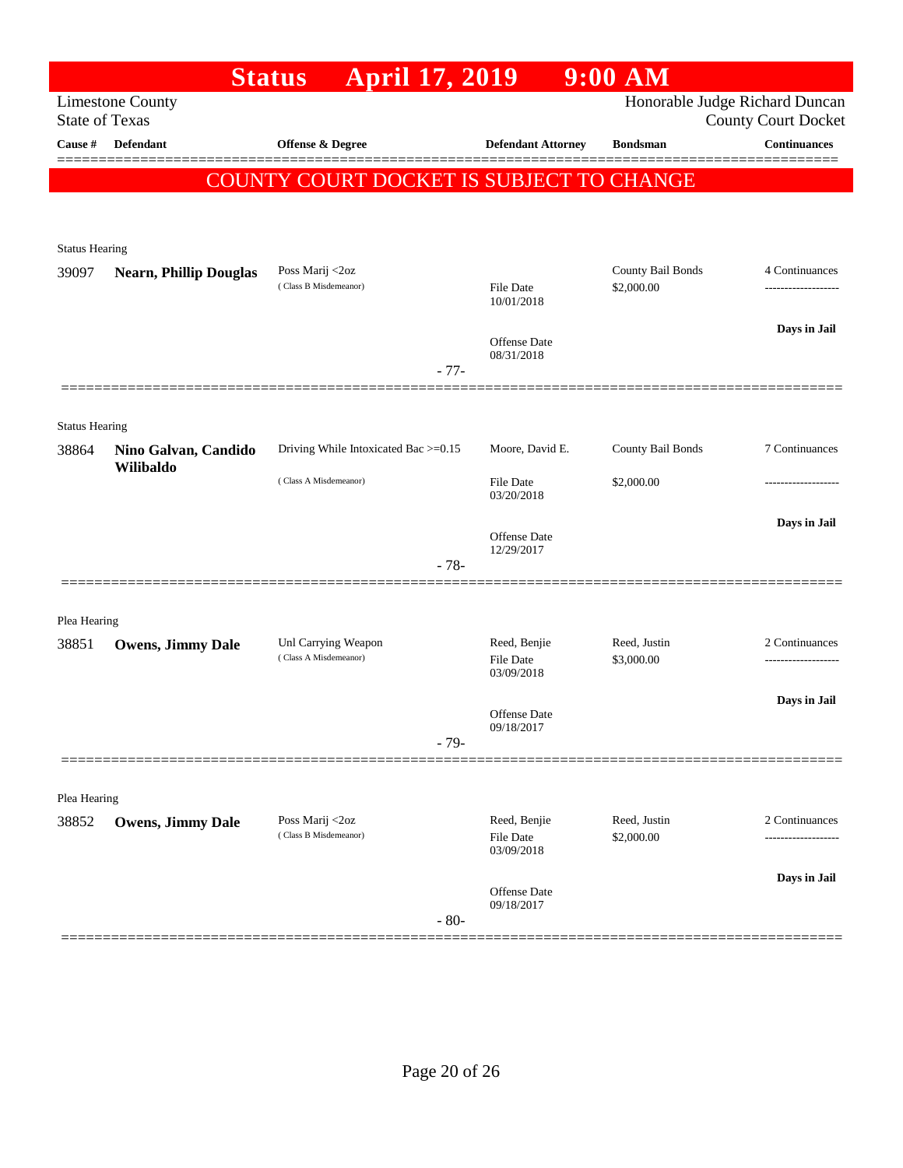|                       |                                   | <b>April 17, 2019</b><br><b>Status</b>       |        |                                  | $9:00$ AM                  |                                                              |
|-----------------------|-----------------------------------|----------------------------------------------|--------|----------------------------------|----------------------------|--------------------------------------------------------------|
| <b>State of Texas</b> | <b>Limestone County</b>           |                                              |        |                                  |                            | Honorable Judge Richard Duncan<br><b>County Court Docket</b> |
| Cause #               | <b>Defendant</b>                  | <b>Offense &amp; Degree</b>                  |        | <b>Defendant Attorney</b>        | <b>Bondsman</b>            | <b>Continuances</b>                                          |
|                       |                                   |                                              |        |                                  |                            |                                                              |
|                       |                                   | COUNTY COURT DOCKET IS SUBJECT TO CHANGE     |        |                                  |                            |                                                              |
|                       |                                   |                                              |        |                                  |                            |                                                              |
| <b>Status Hearing</b> |                                   |                                              |        |                                  |                            |                                                              |
| 39097                 | <b>Nearn, Phillip Douglas</b>     | Poss Marij <2oz                              |        |                                  | County Bail Bonds          | 4 Continuances                                               |
|                       |                                   | (Class B Misdemeanor)                        |        | <b>File Date</b><br>10/01/2018   | \$2,000.00                 |                                                              |
|                       |                                   |                                              |        |                                  |                            | Days in Jail                                                 |
|                       |                                   |                                              |        | Offense Date<br>08/31/2018       |                            |                                                              |
|                       |                                   |                                              | $-77-$ |                                  |                            |                                                              |
|                       |                                   |                                              |        |                                  |                            |                                                              |
| <b>Status Hearing</b> |                                   |                                              |        |                                  |                            | 7 Continuances                                               |
| 38864                 | Nino Galvan, Candido<br>Wilibaldo | Driving While Intoxicated Bac >=0.15         |        | Moore, David E.                  | County Bail Bonds          |                                                              |
|                       |                                   | (Class A Misdemeanor)                        |        | <b>File Date</b><br>03/20/2018   | \$2,000.00                 |                                                              |
|                       |                                   |                                              |        |                                  |                            | Days in Jail                                                 |
|                       |                                   |                                              |        | Offense Date<br>12/29/2017       |                            |                                                              |
|                       |                                   |                                              | $-78-$ |                                  |                            |                                                              |
|                       |                                   |                                              |        |                                  |                            |                                                              |
| Plea Hearing          |                                   |                                              |        |                                  |                            |                                                              |
| 38851                 | Owens, Jimmy Dale                 | Unl Carrying Weapon<br>(Class A Misdemeanor) |        | Reed, Benjie<br><b>File Date</b> | Reed, Justin<br>\$3,000.00 | 2 Continuances<br>.                                          |
|                       |                                   |                                              |        | 03/09/2018                       |                            |                                                              |
|                       |                                   |                                              |        | <b>Offense Date</b>              |                            | Days in Jail                                                 |
|                       |                                   |                                              | $-79-$ | 09/18/2017                       |                            |                                                              |
|                       |                                   |                                              |        |                                  |                            |                                                              |
| Plea Hearing          |                                   |                                              |        |                                  |                            |                                                              |
| 38852                 | <b>Owens, Jimmy Dale</b>          | Poss Marij <2oz                              |        | Reed, Benjie                     | Reed, Justin               | 2 Continuances                                               |
|                       |                                   | (Class B Misdemeanor)                        |        | <b>File Date</b><br>03/09/2018   | \$2,000.00                 |                                                              |
|                       |                                   |                                              |        |                                  |                            | Days in Jail                                                 |
|                       |                                   |                                              |        | Offense Date<br>09/18/2017       |                            |                                                              |
|                       |                                   |                                              | $-80-$ |                                  |                            |                                                              |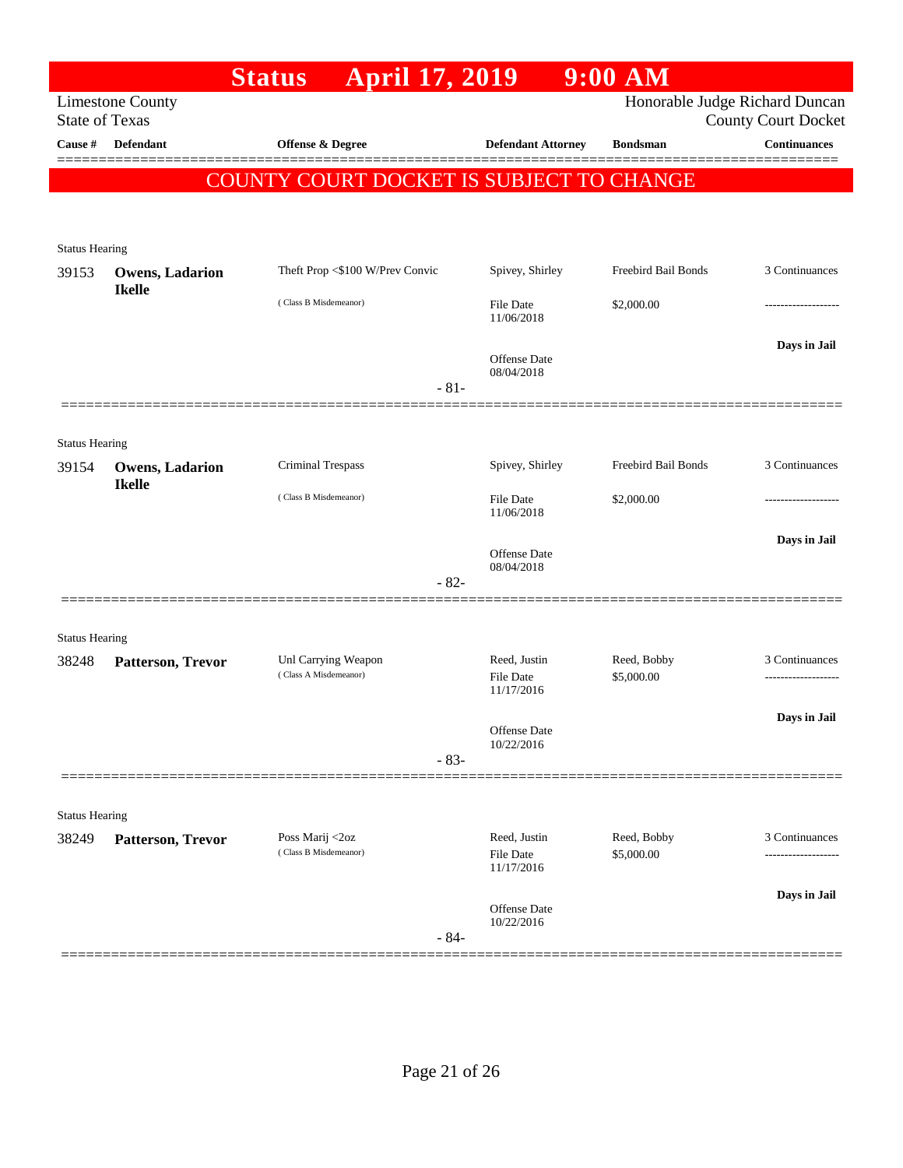|                                |                                         | <b>April 17, 2019</b><br><b>Status</b>          |                                   | $9:00$ AM           |                                                              |
|--------------------------------|-----------------------------------------|-------------------------------------------------|-----------------------------------|---------------------|--------------------------------------------------------------|
| <b>State of Texas</b>          | <b>Limestone County</b>                 |                                                 |                                   |                     | Honorable Judge Richard Duncan<br><b>County Court Docket</b> |
| Cause #                        | <b>Defendant</b>                        | Offense & Degree                                | <b>Defendant Attorney</b>         | <b>Bondsman</b>     | <b>Continuances</b>                                          |
|                                |                                         | <b>COUNTY COURT DOCKET IS SUBJECT TO CHANGE</b> |                                   |                     |                                                              |
|                                |                                         |                                                 |                                   |                     |                                                              |
| <b>Status Hearing</b>          |                                         |                                                 |                                   |                     |                                                              |
| 39153                          | <b>Owens, Ladarion</b><br><b>Ikelle</b> | Theft Prop <\$100 W/Prev Convic                 | Spivey, Shirley                   | Freebird Bail Bonds | 3 Continuances                                               |
|                                |                                         | (Class B Misdemeanor)                           | <b>File Date</b><br>11/06/2018    | \$2,000.00          |                                                              |
|                                |                                         |                                                 | <b>Offense</b> Date<br>08/04/2018 |                     | Days in Jail                                                 |
|                                |                                         | $-81-$                                          |                                   |                     |                                                              |
| <b>Status Hearing</b>          |                                         |                                                 |                                   |                     |                                                              |
| 39154                          | Owens, Ladarion                         | Criminal Trespass                               | Spivey, Shirley                   | Freebird Bail Bonds | 3 Continuances                                               |
|                                | <b>Ikelle</b>                           | (Class B Misdemeanor)                           | <b>File Date</b><br>11/06/2018    | \$2,000.00          |                                                              |
|                                |                                         |                                                 | <b>Offense</b> Date<br>08/04/2018 |                     | Days in Jail                                                 |
|                                |                                         | $-82-$                                          |                                   |                     |                                                              |
|                                |                                         |                                                 |                                   |                     |                                                              |
| <b>Status Hearing</b><br>38248 | Patterson, Trevor                       | Unl Carrying Weapon                             | Reed, Justin                      | Reed, Bobby         | 3 Continuances                                               |
|                                |                                         | (Class A Misdemeanor)                           | File Date<br>11/17/2016           | \$5,000.00          | .                                                            |
|                                |                                         |                                                 | Offense Date<br>10/22/2016        |                     | Days in Jail                                                 |
|                                |                                         | $-83-$                                          |                                   |                     |                                                              |
|                                |                                         |                                                 |                                   |                     |                                                              |
| <b>Status Hearing</b>          |                                         | Poss Marij <2oz                                 | Reed, Justin                      | Reed, Bobby         | 3 Continuances                                               |
| 38249                          | Patterson, Trevor                       | (Class B Misdemeanor)                           | File Date<br>11/17/2016           | \$5,000.00          |                                                              |
|                                |                                         | $-84-$                                          | Offense Date<br>10/22/2016        |                     | Days in Jail                                                 |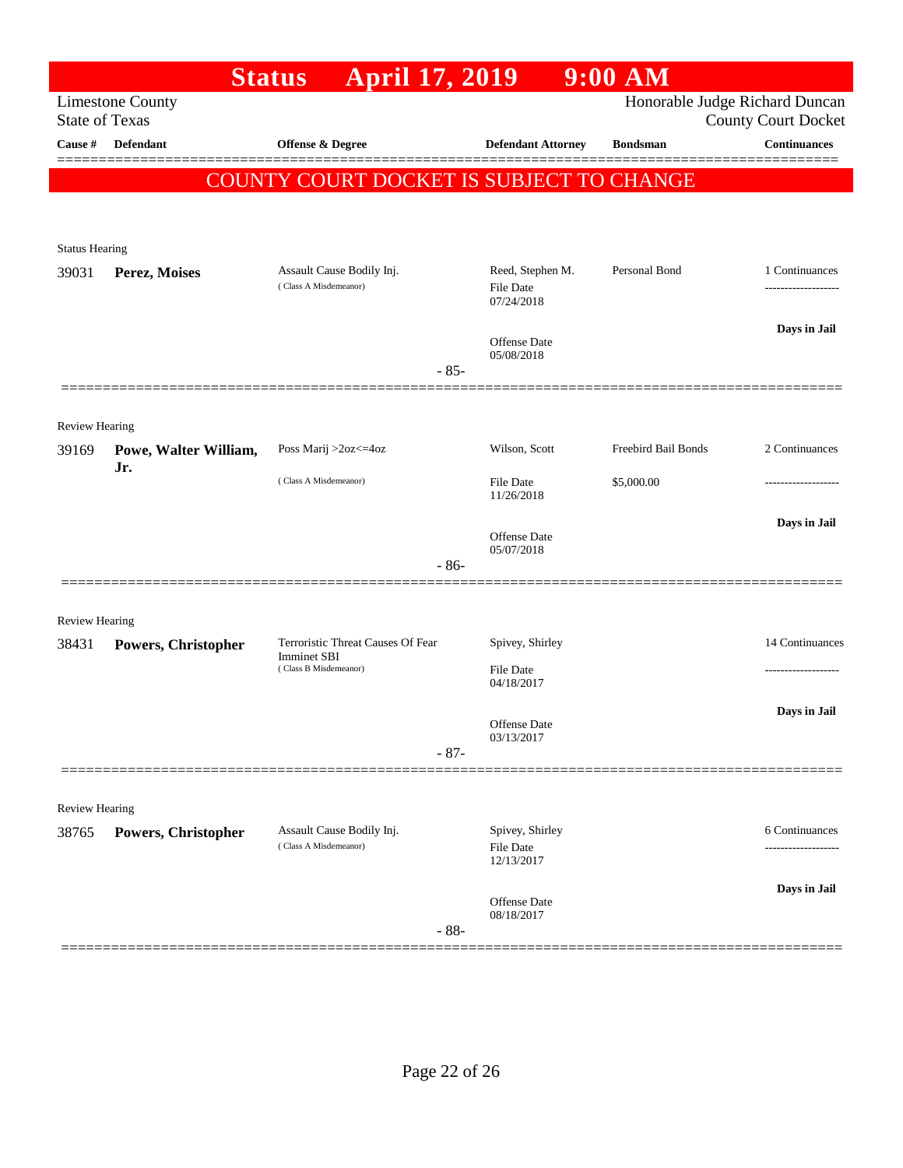|                       |                              | <b>April 17, 2019</b><br><b>Status</b>             |                            | $9:00$ AM           |                                                              |
|-----------------------|------------------------------|----------------------------------------------------|----------------------------|---------------------|--------------------------------------------------------------|
| <b>State of Texas</b> | <b>Limestone County</b>      |                                                    |                            |                     | Honorable Judge Richard Duncan<br><b>County Court Docket</b> |
| Cause #               | <b>Defendant</b>             | Offense & Degree                                   | <b>Defendant Attorney</b>  | <b>Bondsman</b>     | <b>Continuances</b>                                          |
|                       |                              | COUNTY COURT DOCKET IS SUBJECT TO CHANGE           |                            |                     |                                                              |
|                       |                              |                                                    |                            |                     |                                                              |
| <b>Status Hearing</b> |                              |                                                    |                            |                     |                                                              |
| 39031                 | Perez, Moises                | Assault Cause Bodily Inj.<br>(Class A Misdemeanor) | Reed, Stephen M.           | Personal Bond       | 1 Continuances                                               |
|                       |                              |                                                    | File Date<br>07/24/2018    |                     |                                                              |
|                       |                              |                                                    | Offense Date               |                     | Days in Jail                                                 |
|                       |                              | $-85-$                                             | 05/08/2018                 |                     |                                                              |
|                       |                              |                                                    |                            |                     |                                                              |
| <b>Review Hearing</b> |                              |                                                    |                            |                     |                                                              |
| 39169                 | Powe, Walter William,<br>Jr. | Poss Marij >2oz<=4oz                               | Wilson, Scott              | Freebird Bail Bonds | 2 Continuances                                               |
|                       |                              | (Class A Misdemeanor)                              | File Date<br>11/26/2018    | \$5,000.00          | .                                                            |
|                       |                              |                                                    |                            |                     | Days in Jail                                                 |
|                       |                              |                                                    | Offense Date<br>05/07/2018 |                     |                                                              |
|                       |                              | $-86-$                                             |                            |                     |                                                              |
| <b>Review Hearing</b> |                              |                                                    |                            |                     |                                                              |
| 38431                 | Powers, Christopher          | Terroristic Threat Causes Of Fear<br>Imminet SBI   | Spivey, Shirley            |                     | 14 Continuances                                              |
|                       |                              | (Class B Misdemeanor)                              | File Date<br>04/18/2017    |                     | .                                                            |
|                       |                              |                                                    |                            |                     | Days in Jail                                                 |
|                       |                              |                                                    | Offense Date<br>03/13/2017 |                     |                                                              |
|                       |                              | $-87-$                                             |                            |                     |                                                              |
| <b>Review Hearing</b> |                              |                                                    |                            |                     |                                                              |
| 38765                 | <b>Powers, Christopher</b>   | Assault Cause Bodily Inj.                          | Spivey, Shirley            |                     | 6 Continuances                                               |
|                       |                              | (Class A Misdemeanor)                              | File Date<br>12/13/2017    |                     |                                                              |
|                       |                              |                                                    | Offense Date               |                     | Days in Jail                                                 |
|                       |                              | $-88-$                                             | 08/18/2017                 |                     |                                                              |
|                       |                              |                                                    |                            |                     |                                                              |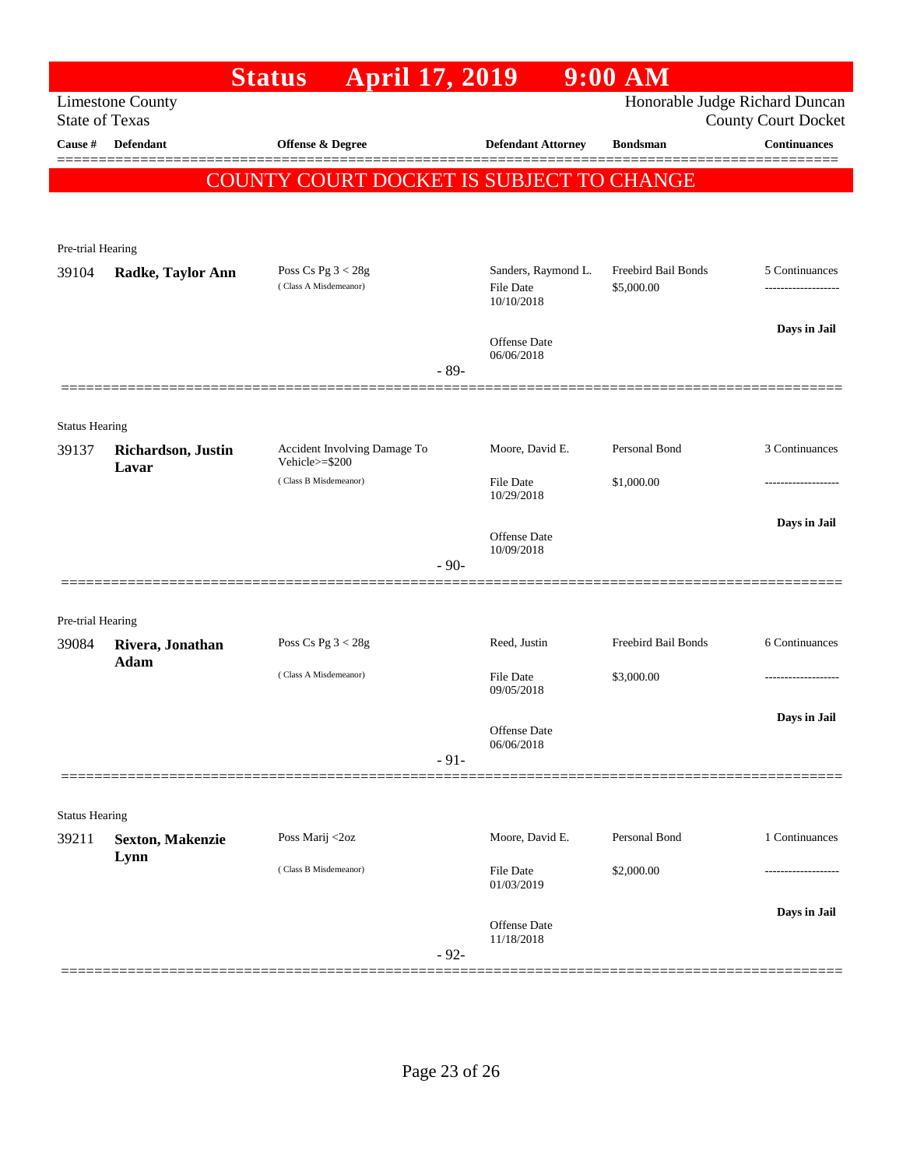|                                  |                             | April 17, 2019<br><b>Status</b>                |        |                                   | $9:00$ AM           |                                                   |
|----------------------------------|-----------------------------|------------------------------------------------|--------|-----------------------------------|---------------------|---------------------------------------------------|
|                                  | <b>Limestone County</b>     |                                                |        |                                   |                     | Honorable Judge Richard Duncan                    |
| <b>State of Texas</b><br>Cause # | <b>Defendant</b>            | Offense & Degree                               |        | <b>Defendant Attorney</b>         | <b>Bondsman</b>     | <b>County Court Docket</b><br><b>Continuances</b> |
|                                  |                             |                                                |        |                                   |                     |                                                   |
|                                  |                             | COUNTY COURT DOCKET IS SUBJECT TO CHANGE       |        |                                   |                     |                                                   |
|                                  |                             |                                                |        |                                   |                     |                                                   |
| Pre-trial Hearing                |                             |                                                |        |                                   |                     |                                                   |
| 39104                            | Radke, Taylor Ann           | Poss Cs Pg $3 < 28g$                           |        | Sanders, Raymond L.               | Freebird Bail Bonds | 5 Continuances                                    |
|                                  |                             | (Class A Misdemeanor)                          |        | <b>File Date</b><br>10/10/2018    | \$5,000.00          | -------------------                               |
|                                  |                             |                                                |        |                                   |                     | Days in Jail                                      |
|                                  |                             |                                                |        | <b>Offense Date</b><br>06/06/2018 |                     |                                                   |
|                                  |                             |                                                | $-89-$ |                                   |                     |                                                   |
|                                  |                             |                                                |        |                                   |                     |                                                   |
| <b>Status Hearing</b>            |                             |                                                |        |                                   |                     |                                                   |
| 39137                            | Richardson, Justin<br>Lavar | Accident Involving Damage To<br>Vehicle>=\$200 |        | Moore, David E.                   | Personal Bond       | 3 Continuances                                    |
|                                  |                             | (Class B Misdemeanor)                          |        | <b>File Date</b><br>10/29/2018    | \$1,000.00          |                                                   |
|                                  |                             |                                                |        |                                   |                     | Days in Jail                                      |
|                                  |                             |                                                |        | <b>Offense Date</b><br>10/09/2018 |                     |                                                   |
|                                  |                             |                                                | $-90-$ |                                   |                     |                                                   |
|                                  |                             |                                                |        |                                   |                     |                                                   |
| Pre-trial Hearing                |                             |                                                |        |                                   |                     |                                                   |
| 39084                            | Rivera, Jonathan<br>Adam    | Poss Cs Pg $3 < 28g$                           |        | Reed, Justin                      | Freebird Bail Bonds | 6 Continuances                                    |
|                                  |                             | (Class A Misdemeanor)                          |        | File Date<br>09/05/2018           | \$3,000.00          |                                                   |
|                                  |                             |                                                |        |                                   |                     | Days in Jail                                      |
|                                  |                             |                                                |        | Offense Date<br>06/06/2018        |                     |                                                   |
|                                  |                             |                                                | $-91-$ |                                   |                     |                                                   |
|                                  |                             |                                                |        |                                   |                     |                                                   |
| <b>Status Hearing</b>            |                             |                                                |        |                                   |                     |                                                   |
| 39211                            | <b>Sexton, Makenzie</b>     | Poss Marij <2oz                                |        | Moore, David E.                   | Personal Bond       | 1 Continuances                                    |
|                                  | Lynn                        | (Class B Misdemeanor)                          |        | <b>File Date</b>                  | \$2,000.00          |                                                   |
|                                  |                             |                                                |        | 01/03/2019                        |                     |                                                   |
|                                  |                             |                                                |        | <b>Offense Date</b>               |                     | Days in Jail                                      |
|                                  |                             |                                                | $-92-$ | 11/18/2018                        |                     |                                                   |
|                                  |                             |                                                |        |                                   |                     |                                                   |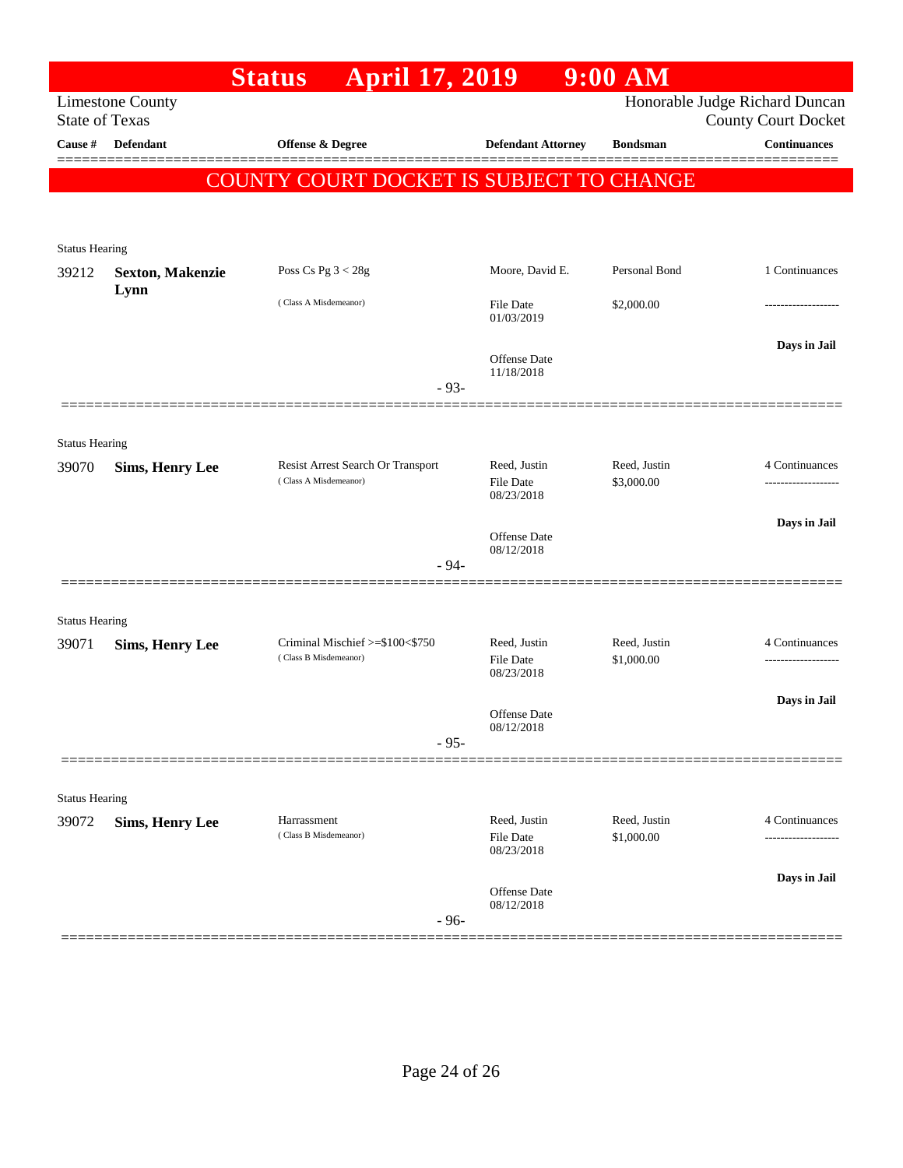|                                |                                                  | <b>April 17, 2019</b><br><b>Status</b>   |                                         | $9:00$ AM                  |                                                              |
|--------------------------------|--------------------------------------------------|------------------------------------------|-----------------------------------------|----------------------------|--------------------------------------------------------------|
|                                | <b>Limestone County</b><br><b>State of Texas</b> |                                          |                                         |                            | Honorable Judge Richard Duncan<br><b>County Court Docket</b> |
| Cause #                        | <b>Defendant</b>                                 | Offense & Degree                         | <b>Defendant Attorney</b>               | <b>Bondsman</b>            | <b>Continuances</b>                                          |
|                                |                                                  | COUNTY COURT DOCKET IS SUBJECT TO CHANGE |                                         |                            |                                                              |
|                                |                                                  |                                          |                                         |                            |                                                              |
|                                |                                                  |                                          |                                         |                            |                                                              |
| <b>Status Hearing</b>          |                                                  |                                          |                                         |                            |                                                              |
| 39212                          | <b>Sexton, Makenzie</b>                          | Poss Cs Pg $3 < 28g$                     | Moore, David E.                         | Personal Bond              | 1 Continuances                                               |
|                                | Lynn                                             | (Class A Misdemeanor)                    | File Date<br>01/03/2019                 | \$2,000.00                 | ----------------                                             |
|                                |                                                  |                                          | Offense Date                            |                            | Days in Jail                                                 |
|                                |                                                  | $-93-$                                   | 11/18/2018                              |                            |                                                              |
|                                |                                                  |                                          |                                         |                            |                                                              |
| <b>Status Hearing</b>          |                                                  |                                          |                                         |                            |                                                              |
| 39070                          | <b>Sims, Henry Lee</b>                           | Resist Arrest Search Or Transport        | Reed, Justin                            | Reed, Justin               | 4 Continuances                                               |
|                                |                                                  | (Class A Misdemeanor)                    | <b>File Date</b><br>08/23/2018          | \$3,000.00                 |                                                              |
|                                |                                                  |                                          |                                         |                            | Days in Jail                                                 |
|                                |                                                  |                                          | Offense Date<br>08/12/2018              |                            |                                                              |
|                                |                                                  | $-94-$                                   |                                         |                            |                                                              |
|                                |                                                  |                                          |                                         |                            |                                                              |
| <b>Status Hearing</b><br>39071 | <b>Sims, Henry Lee</b>                           | Criminal Mischief >=\$100<\$750          | Reed, Justin                            | Reed, Justin               | 4 Continuances                                               |
|                                |                                                  | (Class B Misdemeanor)                    | File Date<br>08/23/2018                 | \$1,000.00                 |                                                              |
|                                |                                                  |                                          |                                         |                            | Days in Jail                                                 |
|                                |                                                  |                                          | <b>Offense</b> Date<br>08/12/2018       |                            |                                                              |
|                                |                                                  | $-95-$                                   |                                         |                            |                                                              |
|                                |                                                  |                                          |                                         |                            |                                                              |
| <b>Status Hearing</b>          |                                                  |                                          |                                         |                            |                                                              |
| 39072                          | <b>Sims, Henry Lee</b>                           | Harrassment<br>(Class B Misdemeanor)     | Reed, Justin<br>File Date<br>08/23/2018 | Reed, Justin<br>\$1,000.00 | 4 Continuances<br>-------------------                        |
|                                |                                                  |                                          |                                         |                            | Days in Jail                                                 |
|                                |                                                  | $-96-$                                   | <b>Offense</b> Date<br>08/12/2018       |                            |                                                              |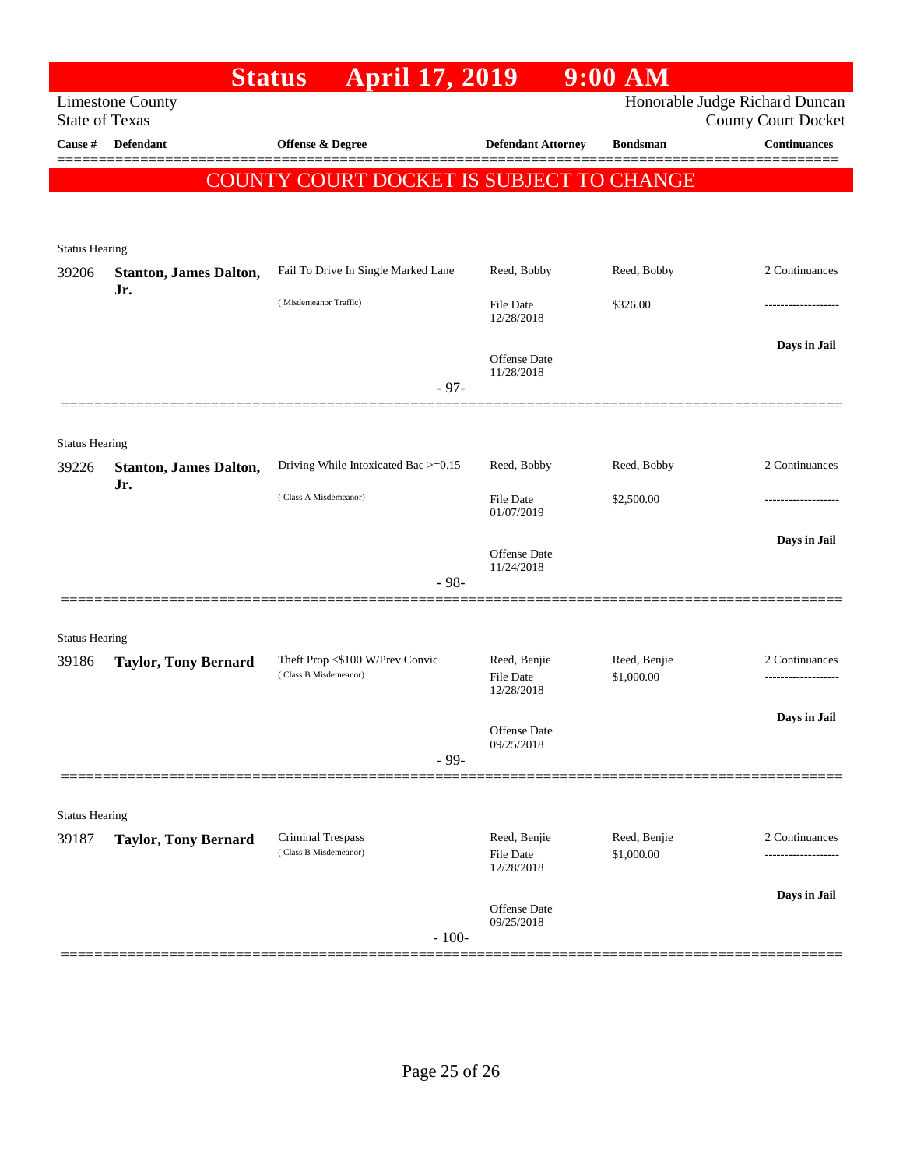|                                |                                                  | <b>April 17, 2019</b><br><b>Status</b>                   |                                         | $9:00$ AM                  |                                                              |
|--------------------------------|--------------------------------------------------|----------------------------------------------------------|-----------------------------------------|----------------------------|--------------------------------------------------------------|
|                                | <b>Limestone County</b><br><b>State of Texas</b> |                                                          |                                         |                            | Honorable Judge Richard Duncan<br><b>County Court Docket</b> |
| Cause #                        | <b>Defendant</b>                                 | <b>Offense &amp; Degree</b>                              | <b>Defendant Attorney</b>               | <b>Bondsman</b>            | <b>Continuances</b>                                          |
|                                |                                                  | COUNTY COURT DOCKET IS SUBJECT TO CHANGE                 |                                         |                            |                                                              |
|                                |                                                  |                                                          |                                         |                            |                                                              |
|                                |                                                  |                                                          |                                         |                            |                                                              |
| <b>Status Hearing</b><br>39206 | <b>Stanton, James Dalton,</b><br>Jr.             | Fail To Drive In Single Marked Lane                      | Reed, Bobby                             | Reed, Bobby                | 2 Continuances                                               |
|                                |                                                  | (Misdemeanor Traffic)                                    | File Date<br>12/28/2018                 | \$326.00                   |                                                              |
|                                |                                                  |                                                          | Offense Date<br>11/28/2018              |                            | Days in Jail                                                 |
|                                |                                                  | $-97-$                                                   |                                         |                            |                                                              |
| <b>Status Hearing</b>          |                                                  |                                                          |                                         |                            |                                                              |
| 39226                          | <b>Stanton, James Dalton,</b><br>Jr.             | Driving While Intoxicated Bac >=0.15                     | Reed, Bobby                             | Reed, Bobby                | 2 Continuances                                               |
|                                |                                                  | (Class A Misdemeanor)                                    | <b>File Date</b><br>01/07/2019          | \$2,500.00                 |                                                              |
|                                |                                                  |                                                          | Offense Date<br>11/24/2018              |                            | Days in Jail                                                 |
|                                |                                                  | $-98-$                                                   |                                         |                            |                                                              |
|                                |                                                  |                                                          |                                         |                            |                                                              |
| <b>Status Hearing</b><br>39186 | <b>Taylor, Tony Bernard</b>                      | Theft Prop <\$100 W/Prev Convic<br>(Class B Misdemeanor) | Reed, Benjie<br>File Date               | Reed, Benjie<br>\$1,000.00 | 2 Continuances                                               |
|                                |                                                  |                                                          | 12/28/2018                              |                            | Days in Jail                                                 |
|                                |                                                  |                                                          | Offense Date<br>09/25/2018              |                            |                                                              |
|                                |                                                  | $-99-$                                                   |                                         |                            |                                                              |
| <b>Status Hearing</b>          |                                                  |                                                          |                                         |                            |                                                              |
| 39187                          | <b>Taylor, Tony Bernard</b>                      | Criminal Trespass<br>(Class B Misdemeanor)               | Reed, Benjie<br>File Date<br>12/28/2018 | Reed, Benjie<br>\$1,000.00 | 2 Continuances                                               |
|                                |                                                  |                                                          |                                         |                            | -------------------                                          |
|                                |                                                  | $-100-$                                                  | <b>Offense Date</b><br>09/25/2018       |                            | Days in Jail                                                 |